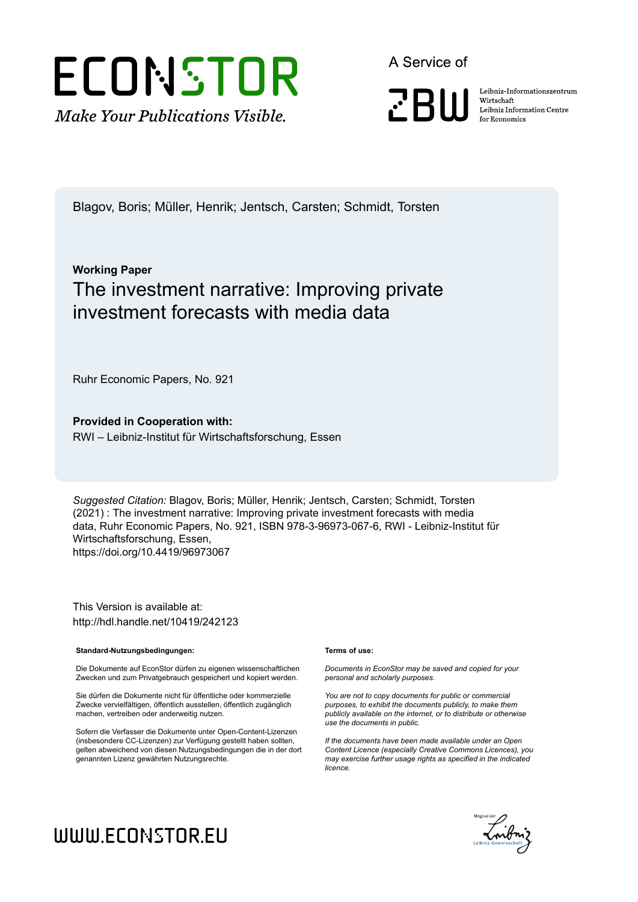

A Service of

**PRIII** 

Leibniz Informationszentrum Wirtschaft Leibniz Information Centre for Economics

Blagov, Boris; Müller, Henrik; Jentsch, Carsten; Schmidt, Torsten

## **Working Paper** The investment narrative: Improving private investment forecasts with media data

Ruhr Economic Papers, No. 921

**Provided in Cooperation with:** RWI – Leibniz-Institut für Wirtschaftsforschung, Essen

*Suggested Citation:* Blagov, Boris; Müller, Henrik; Jentsch, Carsten; Schmidt, Torsten (2021) : The investment narrative: Improving private investment forecasts with media data, Ruhr Economic Papers, No. 921, ISBN 978-3-96973-067-6, RWI - Leibniz-Institut für Wirtschaftsforschung, Essen, https://doi.org/10.4419/96973067

This Version is available at: http://hdl.handle.net/10419/242123

#### **Standard-Nutzungsbedingungen:**

Die Dokumente auf EconStor dürfen zu eigenen wissenschaftlichen Zwecken und zum Privatgebrauch gespeichert und kopiert werden.

Sie dürfen die Dokumente nicht für öffentliche oder kommerzielle Zwecke vervielfältigen, öffentlich ausstellen, öffentlich zugänglich machen, vertreiben oder anderweitig nutzen.

Sofern die Verfasser die Dokumente unter Open-Content-Lizenzen (insbesondere CC-Lizenzen) zur Verfügung gestellt haben sollten, gelten abweichend von diesen Nutzungsbedingungen die in der dort genannten Lizenz gewährten Nutzungsrechte.

#### **Terms of use:**

*Documents in EconStor may be saved and copied for your personal and scholarly purposes.*

*You are not to copy documents for public or commercial purposes, to exhibit the documents publicly, to make them publicly available on the internet, or to distribute or otherwise use the documents in public.*

*If the documents have been made available under an Open Content Licence (especially Creative Commons Licences), you may exercise further usage rights as specified in the indicated licence.*



# WWW.ECONSTOR.EU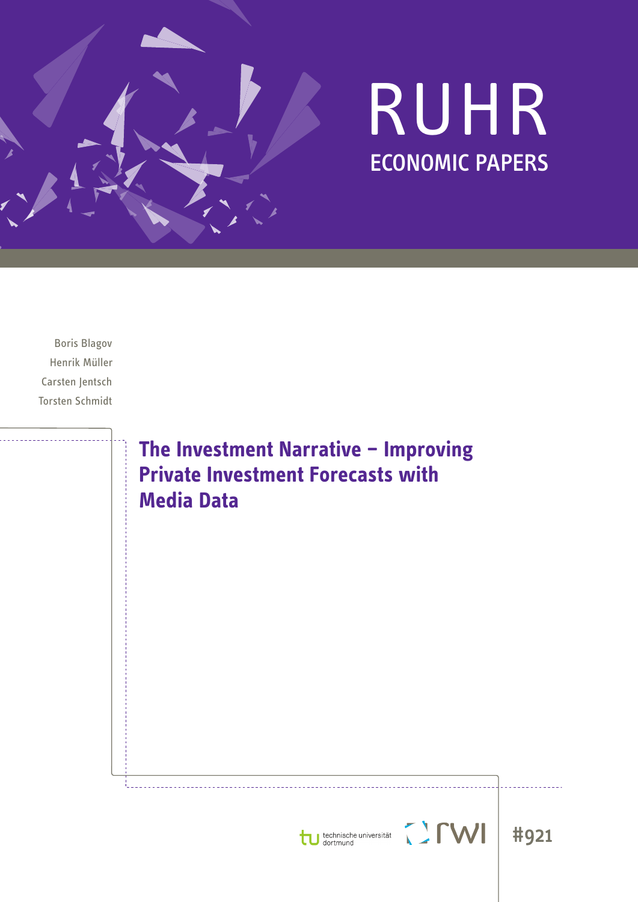

# RUHR ECONOMIC PAPERS

Boris Blagov Henrik Müller Carsten Jentsch Torsten Schmidt

> **The Investment Narrative – Improving Private Investment Forecasts with Media Data**





**MILL**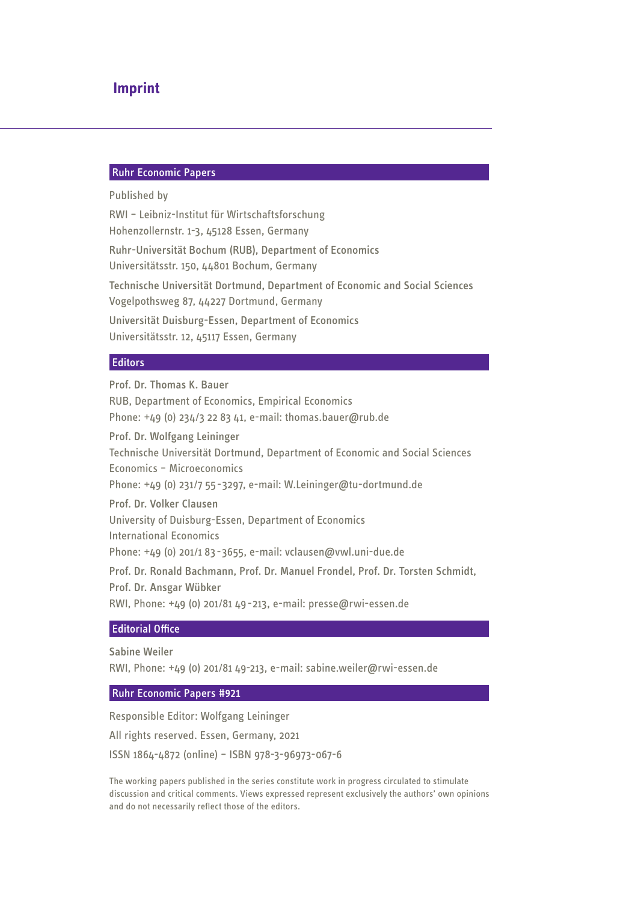## **Imprint**

## Ruhr Economic Papers

#### Published by

RWI – Leibniz-Institut für Wirtschaftsforschung Hohenzollernstr. 1-3, 45128 Essen, Germany Ruhr-Universität Bochum (RUB), Department of Economics Universitätsstr. 150, 44801 Bochum, Germany Technische Universität Dortmund, Department of Economic and Social Sciences Vogelpothsweg 87, 44227 Dortmund, Germany Universität Duisburg-Essen, Department of Economics Universitätsstr. 12, 45117 Essen, Germany

## **Editors**

## Prof. Dr. Thomas K. Bauer RUB, Department of Economics, Empirical Economics Phone: +49 (0) 234/3 22 83 41, e-mail: thomas.bauer@rub.de Prof. Dr. Wolfgang Leininger Technische Universität Dortmund, Department of Economic and Social Sciences Economics – Microeconomics Phone: +49 (0) 231/7 55-3297, e-mail: W.Leininger@tu-dortmund.de Prof. Dr. Volker Clausen University of Duisburg-Essen, Department of Economics International Economics Phone: +49 (0) 201/1 83-3655, e-mail: vclausen@vwl.uni-due.de Prof. Dr. Ronald Bachmann, Prof. Dr. Manuel Frondel, Prof. Dr. Torsten Schmidt, Prof. Dr. Ansgar Wübker RWI, Phone: +49 (0) 201/81 49-213, e-mail: presse@rwi-essen.de

## Editorial Office

Sabine Weiler

RWI, Phone: +49 (0) 201/81 49-213, e-mail: sabine.weiler@rwi-essen.de

## Ruhr Economic Papers #921

Responsible Editor: Wolfgang Leininger All rights reserved. Essen, Germany, 2021 ISSN 1864-4872 (online) – ISBN 978-3-96973-067-6

The working papers published in the series constitute work in progress circulated to stimulate discussion and critical comments. Views expressed represent exclusively the authors' own opinions and do not necessarily reflect those of the editors.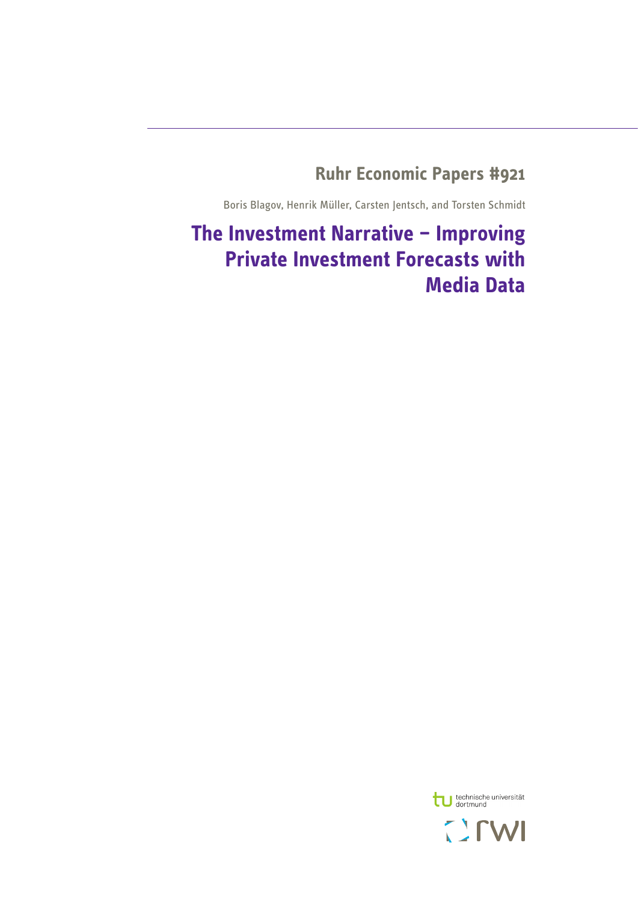## **Ruhr Economic Papers #921**

Boris Blagov, Henrik Müller, Carsten Jentsch, and Torsten Schmidt

# **The Investment Narrative – Improving Private Investment Forecasts with Media Data**

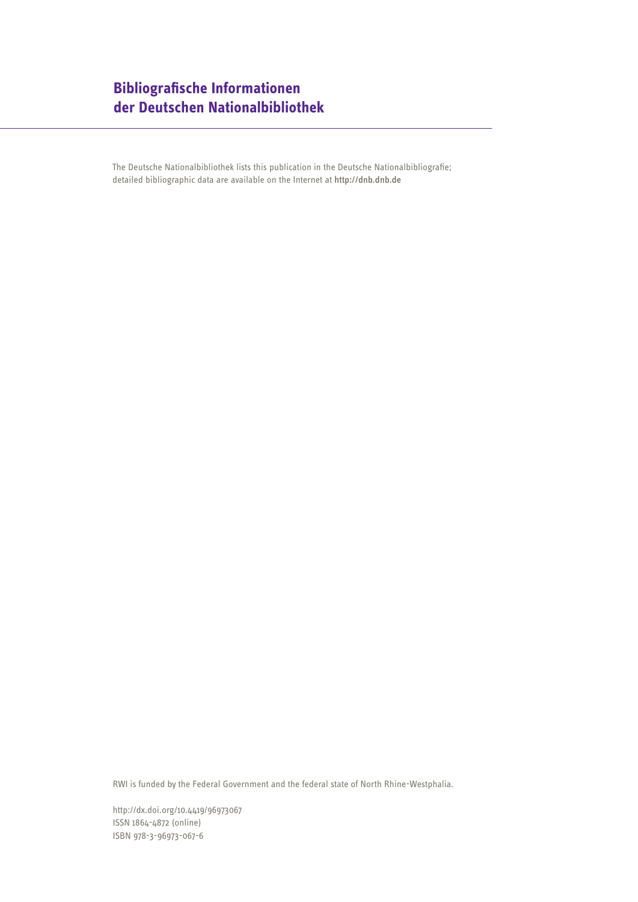## **Bibliografische Informationen der Deutschen Nationalbibliothek**

The Deutsche Nationalbibliothek lists this publication in the Deutsche Nationalbibliografie; detailed bibliographic data are available on the Internet at http://dnb.dnb.de

RWI is funded by the Federal Government and the federal state of North Rhine-Westphalia.

http://dx.doi.org/10.4419/96973067 ISSN 1864-4872 (online) ISBN 978-3-96973-067-6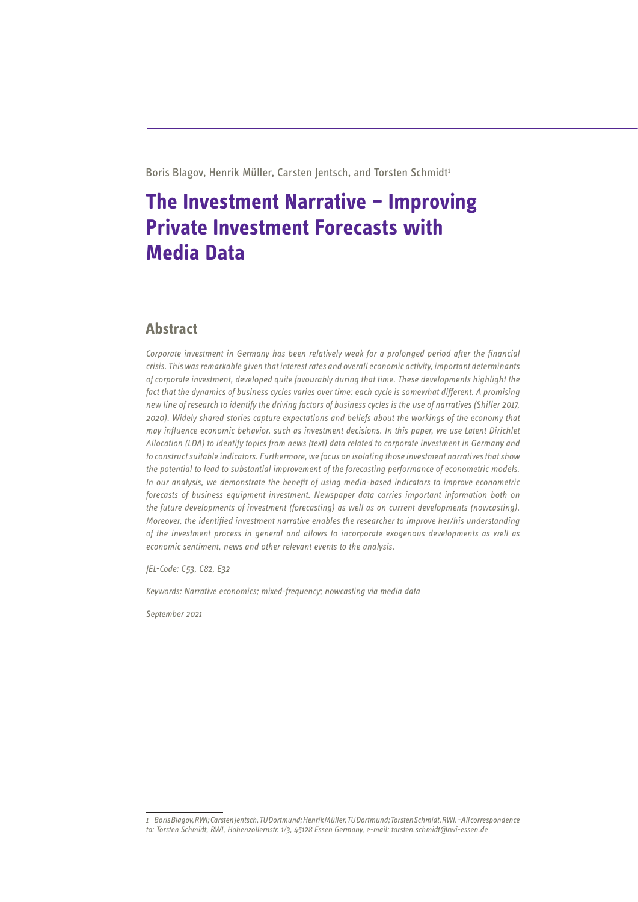Boris Blagov, Henrik Müller, Carsten Jentsch, and Torsten Schmidt<sup>1</sup>

# **The Investment Narrative – Improving Private Investment Forecasts with Media Data**

## **Abstract**

*Corporate investment in Germany has been relatively weak for a prolonged period after the financial crisis. This was remarkable given that interest rates and overall economic activity, important determinants of corporate investment, developed quite favourably during that time. These developments highlight the fact that the dynamics of business cycles varies over time: each cycle is somewhat different. A promising new line of research to identify the driving factors of business cycles is the use of narratives (Shiller 2017, 2020). Widely shared stories capture expectations and beliefs about the workings of the economy that may influence economic behavior, such as investment decisions. In this paper, we use Latent Dirichlet Allocation (LDA) to identify topics from news (text) data related to corporate investment in Germany and to construct suitable indicators. Furthermore, we focus on isolating those investment narratives that show the potential to lead to substantial improvement of the forecasting performance of econometric models. In our analysis, we demonstrate the benefit of using media-based indicators to improve econometric forecasts of business equipment investment. Newspaper data carries important information both on the future developments of investment (forecasting) as well as on current developments (nowcasting). Moreover, the identified investment narrative enables the researcher to improve her/his understanding of the investment process in general and allows to incorporate exogenous developments as well as economic sentiment, news and other relevant events to the analysis.*

*JEL-Code: C53, C82, E32* 

*Keywords: Narrative economics; mixed-frequency; nowcasting via media data*

*September 2021* 

*<sup>1</sup> Boris Blagov, RWI; Carsten Jentsch, TU Dortmund; Henrik Müller, TU Dortmund; Torsten Schmidt, RWI. - All correspondence to: Torsten Schmidt, RWI, Hohenzollernstr. 1/3, 45128 Essen Germany, e-mail: torsten.schmidt@rwi-essen.de*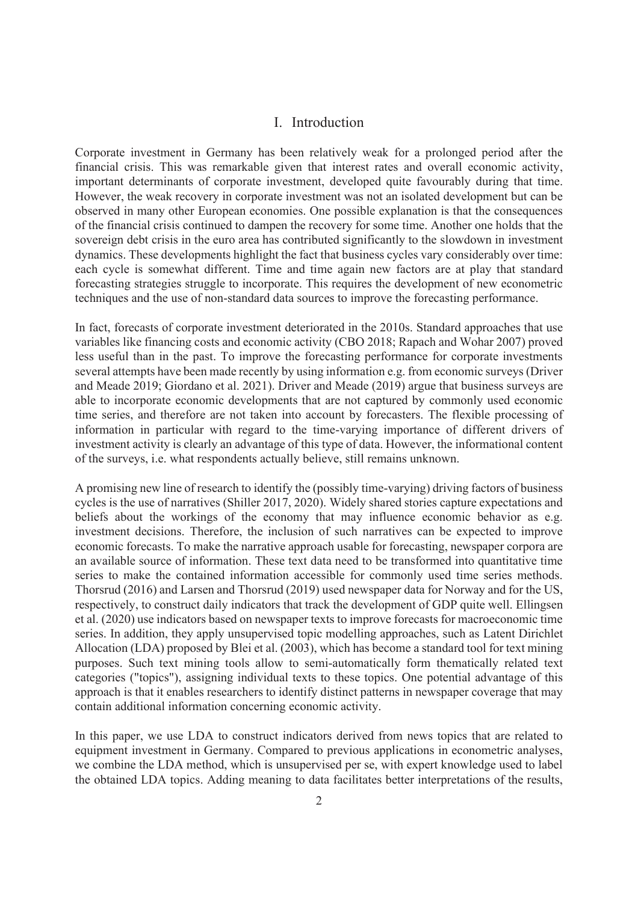## I. Introduction

Corporate investment in Germany has been relatively weak for a prolonged period after the financial crisis. This was remarkable given that interest rates and overall economic activity, important determinants of corporate investment, developed quite favourably during that time. However, the weak recovery in corporate investment was not an isolated development but can be observed in many other European economies. One possible explanation is that the consequences of the financial crisis continued to dampen the recovery for some time. Another one holds that the sovereign debt crisis in the euro area has contributed significantly to the slowdown in investment dynamics. These developments highlight the fact that business cycles vary considerably over time: each cycle is somewhat different. Time and time again new factors are at play that standard forecasting strategies struggle to incorporate. This requires the development of new econometric techniques and the use of non-standard data sources to improve the forecasting performance.

In fact, forecasts of corporate investment deteriorated in the 2010s. Standard approaches that use variables like financing costs and economic activity (CBO 2018; Rapach and Wohar 2007) proved less useful than in the past. To improve the forecasting performance for corporate investments several attempts have been made recently by using information e.g. from economic surveys (Driver and Meade 2019; Giordano et al. 2021). Driver and Meade (2019) argue that business surveys are able to incorporate economic developments that are not captured by commonly used economic time series, and therefore are not taken into account by forecasters. The flexible processing of information in particular with regard to the time-varying importance of different drivers of investment activity is clearly an advantage of this type of data. However, the informational content of the surveys, i.e. what respondents actually believe, still remains unknown.

A promising new line of research to identify the (possibly time-varying) driving factors of business cycles is the use of narratives (Shiller 2017, 2020). Widely shared stories capture expectations and beliefs about the workings of the economy that may influence economic behavior as e.g. investment decisions. Therefore, the inclusion of such narratives can be expected to improve economic forecasts. To make the narrative approach usable for forecasting, newspaper corpora are an available source of information. These text data need to be transformed into quantitative time series to make the contained information accessible for commonly used time series methods. Thorsrud (2016) and Larsen and Thorsrud (2019) used newspaper data for Norway and for the US, respectively, to construct daily indicators that track the development of GDP quite well. Ellingsen et al. (2020) use indicators based on newspaper texts to improve forecasts for macroeconomic time series. In addition, they apply unsupervised topic modelling approaches, such as Latent Dirichlet Allocation (LDA) proposed by Blei et al. (2003), which has become a standard tool for text mining purposes. Such text mining tools allow to semi-automatically form thematically related text categories ("topics"), assigning individual texts to these topics. One potential advantage of this approach is that it enables researchers to identify distinct patterns in newspaper coverage that may contain additional information concerning economic activity.

In this paper, we use LDA to construct indicators derived from news topics that are related to equipment investment in Germany. Compared to previous applications in econometric analyses, we combine the LDA method, which is unsupervised per se, with expert knowledge used to label the obtained LDA topics. Adding meaning to data facilitates better interpretations of the results,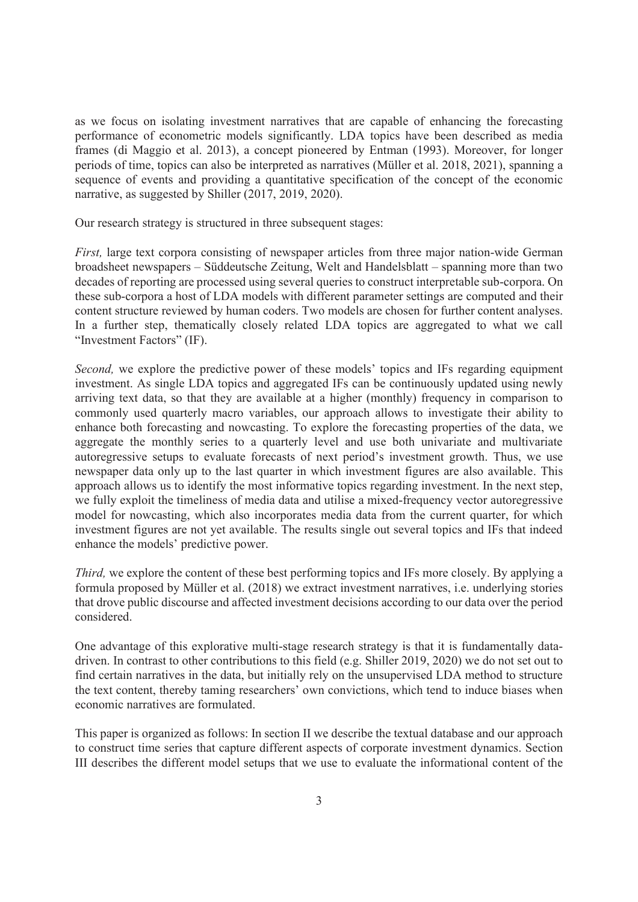as we focus on isolating investment narratives that are capable of enhancing the forecasting performance of econometric models significantly. LDA topics have been described as media frames (di Maggio et al. 2013), a concept pioneered by Entman (1993). Moreover, for longer periods of time, topics can also be interpreted as narratives (Müller et al. 2018, 2021), spanning a sequence of events and providing a quantitative specification of the concept of the economic narrative, as suggested by Shiller (2017, 2019, 2020).

Our research strategy is structured in three subsequent stages:

*First,* large text corpora consisting of newspaper articles from three major nation-wide German broadsheet newspapers – Süddeutsche Zeitung, Welt and Handelsblatt – spanning more than two decades of reporting are processed using several queries to construct interpretable sub-corpora. On these sub-corpora a host of LDA models with different parameter settings are computed and their content structure reviewed by human coders. Two models are chosen for further content analyses. In a further step, thematically closely related LDA topics are aggregated to what we call "Investment Factors" (IF).

*Second,* we explore the predictive power of these models' topics and IFs regarding equipment investment. As single LDA topics and aggregated IFs can be continuously updated using newly arriving text data, so that they are available at a higher (monthly) frequency in comparison to commonly used quarterly macro variables, our approach allows to investigate their ability to enhance both forecasting and nowcasting. To explore the forecasting properties of the data, we aggregate the monthly series to a quarterly level and use both univariate and multivariate autoregressive setups to evaluate forecasts of next period's investment growth. Thus, we use newspaper data only up to the last quarter in which investment figures are also available. This approach allows us to identify the most informative topics regarding investment. In the next step, we fully exploit the timeliness of media data and utilise a mixed-frequency vector autoregressive model for nowcasting, which also incorporates media data from the current quarter, for which investment figures are not yet available. The results single out several topics and IFs that indeed enhance the models' predictive power.

*Third,* we explore the content of these best performing topics and IFs more closely. By applying a formula proposed by Müller et al. (2018) we extract investment narratives, i.e. underlying stories that drove public discourse and affected investment decisions according to our data over the period considered.

One advantage of this explorative multi-stage research strategy is that it is fundamentally datadriven. In contrast to other contributions to this field (e.g. Shiller 2019, 2020) we do not set out to find certain narratives in the data, but initially rely on the unsupervised LDA method to structure the text content, thereby taming researchers' own convictions, which tend to induce biases when economic narratives are formulated.

This paper is organized as follows: In section II we describe the textual database and our approach to construct time series that capture different aspects of corporate investment dynamics. Section III describes the different model setups that we use to evaluate the informational content of the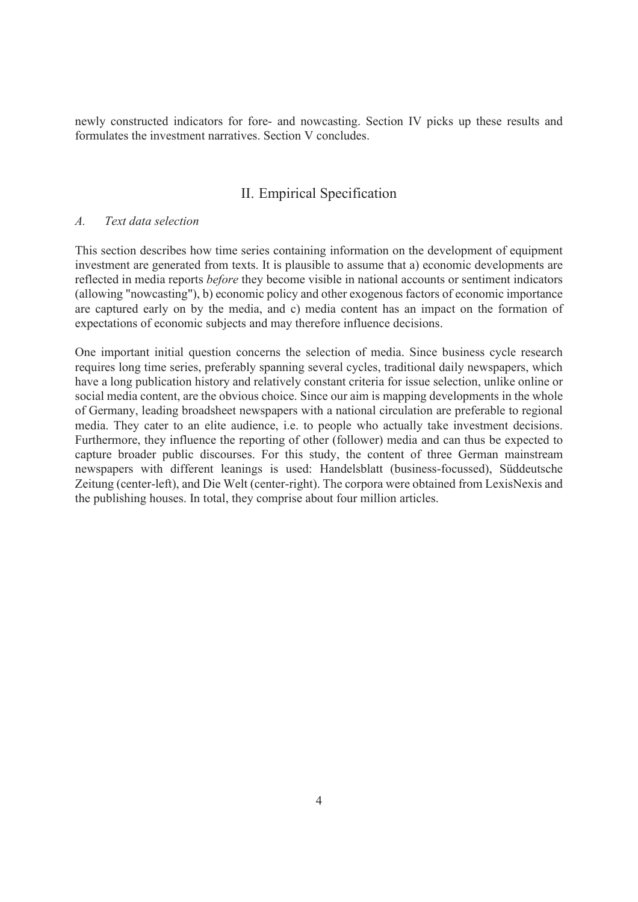newly constructed indicators for fore- and nowcasting. Section IV picks up these results and formulates the investment narratives. Section V concludes.

## II. Empirical Specification

## *A. Text data selection*

This section describes how time series containing information on the development of equipment investment are generated from texts. It is plausible to assume that a) economic developments are reflected in media reports *before* they become visible in national accounts or sentiment indicators (allowing "nowcasting"), b) economic policy and other exogenous factors of economic importance are captured early on by the media, and c) media content has an impact on the formation of expectations of economic subjects and may therefore influence decisions.

One important initial question concerns the selection of media. Since business cycle research requires long time series, preferably spanning several cycles, traditional daily newspapers, which have a long publication history and relatively constant criteria for issue selection, unlike online or social media content, are the obvious choice. Since our aim is mapping developments in the whole of Germany, leading broadsheet newspapers with a national circulation are preferable to regional media. They cater to an elite audience, i.e. to people who actually take investment decisions. Furthermore, they influence the reporting of other (follower) media and can thus be expected to capture broader public discourses. For this study, the content of three German mainstream newspapers with different leanings is used: Handelsblatt (business-focussed), Süddeutsche Zeitung (center-left), and Die Welt (center-right). The corpora were obtained from LexisNexis and the publishing houses. In total, they comprise about four million articles.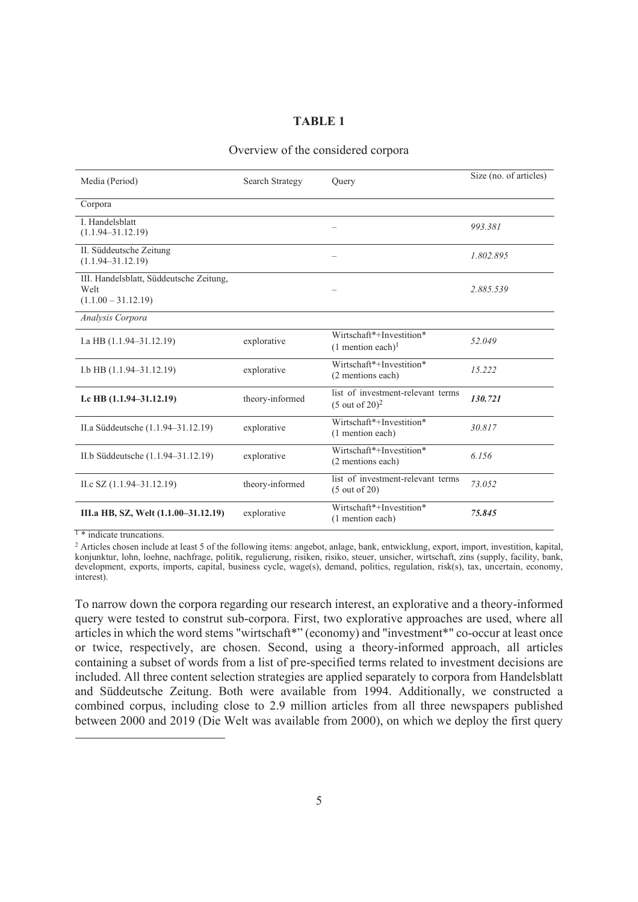## **TABLE 1**

## Overview of the considered corpora

| Media (Period)                                                           | Search Strategy | Ouery                                                           | Size (no. of articles) |
|--------------------------------------------------------------------------|-----------------|-----------------------------------------------------------------|------------------------|
| Corpora                                                                  |                 |                                                                 |                        |
| I. Handelsblatt<br>$(1.1.94 - 31.12.19)$                                 |                 |                                                                 | 993.381                |
| II. Süddeutsche Zeitung<br>$(1.1.94 - 31.12.19)$                         |                 |                                                                 | 1.802.895              |
| III. Handelsblatt, Süddeutsche Zeitung,<br>Welt<br>$(1.1.00 - 31.12.19)$ |                 |                                                                 | 2.885.539              |
| Analysis Corpora                                                         |                 |                                                                 |                        |
| I.a HB $(1.1.94 - 31.12.19)$                                             | explorative     | Wirtschaft*+Investition*<br>$(1$ mention each) <sup>1</sup>     | 52.049                 |
| I.b HB (1.1.94-31.12.19)                                                 | explorative     | Wirtschaft*+Investition*<br>(2 mentions each)                   | 15.222                 |
| I.c HB $(1.1.94-31.12.19)$                                               | theory-informed | list of investment-relevant terms<br>$(5 \text{ out of } 20)^2$ | 130.721                |
| II.a Süddeutsche (1.1.94–31.12.19)                                       | explorative     | Wirtschaft*+Investition*<br>(1 mention each)                    | 30.817                 |
| II.b Süddeutsche (1.1.94-31.12.19)                                       | explorative     | Wirtschaft*+Investition*<br>(2 mentions each)                   | 6.156                  |
| II.c SZ $(1.1.94 - 31.12.19)$                                            | theory-informed | list of investment-relevant terms<br>(5 out of 20)              | 73.052                 |
| III.a HB, SZ, Welt (1.1.00–31.12.19)                                     | explorative     | Wirtschaft*+Investition*<br>(1 mention each)                    | 75.845                 |

<sup>1</sup> \* indicate truncations.

<sup>2</sup> Articles chosen include at least 5 of the following items: angebot, anlage, bank, entwicklung, export, import, investition, kapital, konjunktur, lohn, loehne, nachfrage, politik, regulierung, risiken, risiko, steuer, unsicher, wirtschaft, zins (supply, facility, bank, development, exports, imports, capital, business cycle, wage(s), demand, politics, regulation, risk(s), tax, uncertain, economy, interest).

To narrow down the corpora regarding our research interest, an explorative and a theory-informed query were tested to construt sub-corpora. First, two explorative approaches are used, where all articles in which the word stems "wirtschaft\*" (economy) and "investment\*" co-occur at least once or twice, respectively, are chosen. Second, using a theory-informed approach, all articles containing a subset of words from a list of pre-specified terms related to investment decisions are included. All three content selection strategies are applied separately to corpora from Handelsblatt and Süddeutsche Zeitung. Both were available from 1994. Additionally, we constructed a combined corpus, including close to 2.9 million articles from all three newspapers published between 2000 and 2019 (Die Welt was available from 2000), on which we deploy the first query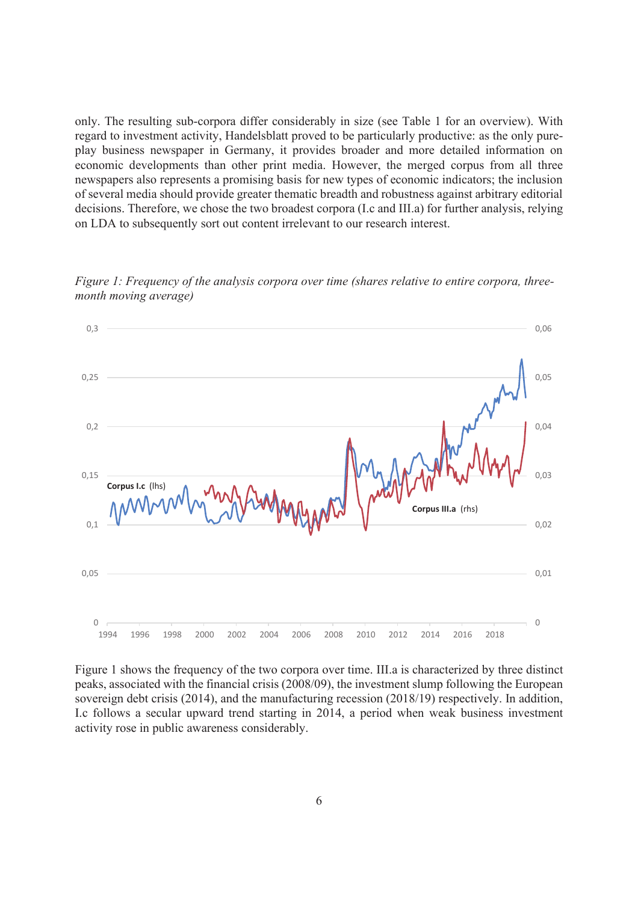only. The resulting sub-corpora differ considerably in size (see Table 1 for an overview). With regard to investment activity, Handelsblatt proved to be particularly productive: as the only pureplay business newspaper in Germany, it provides broader and more detailed information on economic developments than other print media. However, the merged corpus from all three newspapers also represents a promising basis for new types of economic indicators; the inclusion of several media should provide greater thematic breadth and robustness against arbitrary editorial decisions. Therefore, we chose the two broadest corpora (I.c and III.a) for further analysis, relying on LDA to subsequently sort out content irrelevant to our research interest.



*Figure 1: Frequency of the analysis corpora over time (shares relative to entire corpora, threemonth moving average)*

Figure 1 shows the frequency of the two corpora over time. III.a is characterized by three distinct peaks, associated with the financial crisis (2008/09), the investment slump following the European sovereign debt crisis (2014), and the manufacturing recession (2018/19) respectively. In addition, I.c follows a secular upward trend starting in 2014, a period when weak business investment activity rose in public awareness considerably.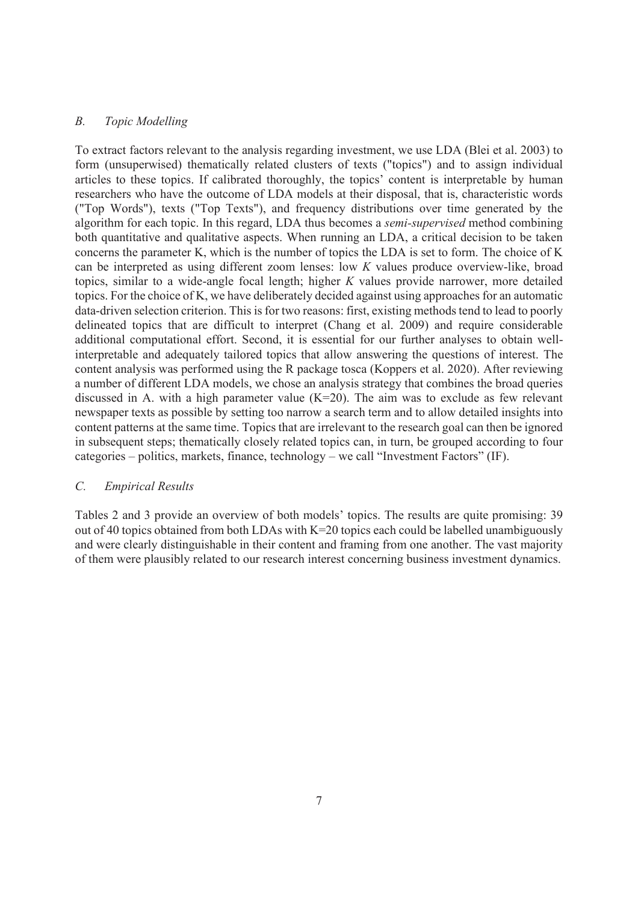## *B. Topic Modelling*

To extract factors relevant to the analysis regarding investment, we use LDA (Blei et al. 2003) to form (unsuperwised) thematically related clusters of texts ("topics") and to assign individual articles to these topics. If calibrated thoroughly, the topics' content is interpretable by human researchers who have the outcome of LDA models at their disposal, that is, characteristic words ("Top Words"), texts ("Top Texts"), and frequency distributions over time generated by the algorithm for each topic. In this regard, LDA thus becomes a *semi-supervised* method combining both quantitative and qualitative aspects. When running an LDA, a critical decision to be taken concerns the parameter K, which is the number of topics the LDA is set to form. The choice of K can be interpreted as using different zoom lenses: low *K* values produce overview-like, broad topics, similar to a wide-angle focal length; higher *K* values provide narrower, more detailed topics. For the choice of K, we have deliberately decided against using approaches for an automatic data-driven selection criterion. This is for two reasons: first, existing methods tend to lead to poorly delineated topics that are difficult to interpret (Chang et al. 2009) and require considerable additional computational effort. Second, it is essential for our further analyses to obtain wellinterpretable and adequately tailored topics that allow answering the questions of interest. The content analysis was performed using the R package tosca (Koppers et al. 2020). After reviewing a number of different LDA models, we chose an analysis strategy that combines the broad queries discussed in A. with a high parameter value  $(K=20)$ . The aim was to exclude as few relevant newspaper texts as possible by setting too narrow a search term and to allow detailed insights into content patterns at the same time. Topics that are irrelevant to the research goal can then be ignored in subsequent steps; thematically closely related topics can, in turn, be grouped according to four categories – politics, markets, finance, technology – we call "Investment Factors" (IF).

## *C. Empirical Results*

Tables 2 and 3 provide an overview of both models' topics. The results are quite promising: 39 out of 40 topics obtained from both LDAs with K=20 topics each could be labelled unambiguously and were clearly distinguishable in their content and framing from one another. The vast majority of them were plausibly related to our research interest concerning business investment dynamics.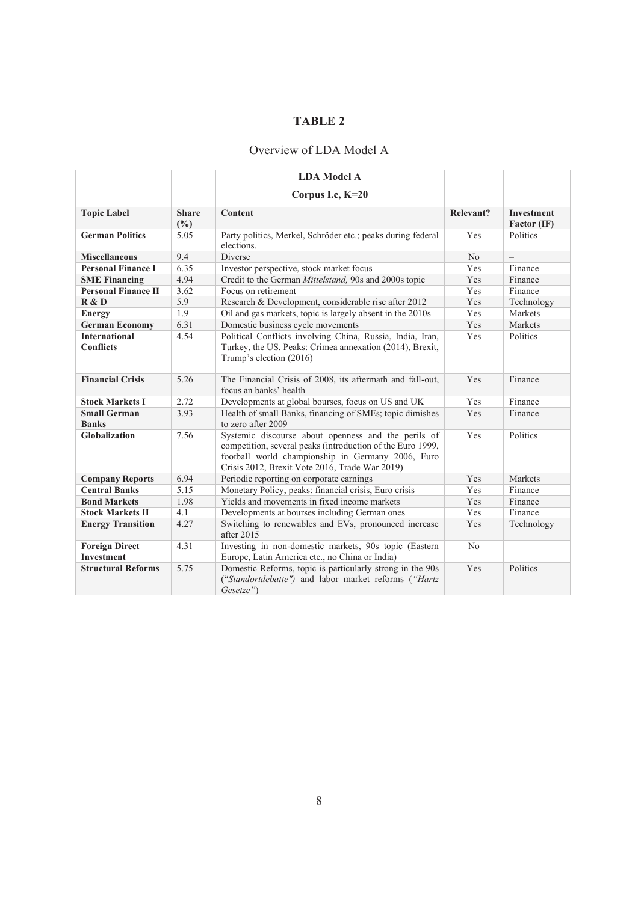## **TABLE 2**

## Overview of LDA Model A

|                                            |                     | <b>LDA Model A</b>                                                                                                                                                                                                       |                  |                                  |
|--------------------------------------------|---------------------|--------------------------------------------------------------------------------------------------------------------------------------------------------------------------------------------------------------------------|------------------|----------------------------------|
|                                            |                     | Corpus I.c, K=20                                                                                                                                                                                                         |                  |                                  |
| <b>Topic Label</b>                         | <b>Share</b><br>(%) | Content                                                                                                                                                                                                                  | <b>Relevant?</b> | <b>Investment</b><br>Factor (IF) |
| <b>German Politics</b>                     | 5.05                | Party politics, Merkel, Schröder etc.; peaks during federal<br>elections.                                                                                                                                                | Yes              | Politics                         |
| <b>Miscellaneous</b>                       | 9.4                 | Diverse                                                                                                                                                                                                                  | N <sub>o</sub>   | $\equiv$                         |
| <b>Personal Finance I</b>                  | 6.35                | Investor perspective, stock market focus                                                                                                                                                                                 | Yes              | Finance                          |
| <b>SME Financing</b>                       | 4.94                | Credit to the German Mittelstand, 90s and 2000s topic                                                                                                                                                                    | Yes              | Finance                          |
| <b>Personal Finance II</b>                 | 3.62                | Focus on retirement                                                                                                                                                                                                      | Yes              | Finance                          |
| R & D                                      | 5.9                 | Research & Development, considerable rise after 2012                                                                                                                                                                     | Yes              | Technology                       |
| <b>Energy</b>                              | 1.9                 | Oil and gas markets, topic is largely absent in the 2010s                                                                                                                                                                | Yes              | Markets                          |
| <b>German Economy</b>                      | 6.31                | Domestic business cycle movements                                                                                                                                                                                        | Yes              | Markets                          |
| <b>International</b><br><b>Conflicts</b>   | 4.54                | Political Conflicts involving China, Russia, India, Iran,<br>Turkey, the US. Peaks: Crimea annexation (2014), Brexit,<br>Trump's election (2016)                                                                         | Yes              | Politics                         |
| <b>Financial Crisis</b>                    | 5.26                | The Financial Crisis of 2008, its aftermath and fall-out,<br>focus an banks' health                                                                                                                                      | Yes              | Finance                          |
| <b>Stock Markets I</b>                     | 2.72                | Developments at global bourses, focus on US and UK                                                                                                                                                                       | Yes              | Finance                          |
| <b>Small German</b><br><b>Banks</b>        | 3.93                | Health of small Banks, financing of SMEs; topic dimishes<br>to zero after 2009                                                                                                                                           | Yes              | Finance                          |
| <b>Globalization</b>                       | 7.56                | Systemic discourse about openness and the perils of<br>competition, several peaks (introduction of the Euro 1999,<br>football world championship in Germany 2006, Euro<br>Crisis 2012, Brexit Vote 2016, Trade War 2019) | Yes              | Politics                         |
| <b>Company Reports</b>                     | 6.94                | Periodic reporting on corporate earnings                                                                                                                                                                                 | Yes              | Markets                          |
| <b>Central Banks</b>                       | 5.15                | Monetary Policy, peaks: financial crisis, Euro crisis                                                                                                                                                                    | Yes              | Finance                          |
| <b>Bond Markets</b>                        | 1.98                | Yields and movements in fixed income markets                                                                                                                                                                             | Yes              | Finance                          |
| <b>Stock Markets II</b>                    | 4.1                 | Developments at bourses including German ones                                                                                                                                                                            | Yes              | Finance                          |
| <b>Energy Transition</b>                   | 4.27                | Switching to renewables and EVs, pronounced increase<br>after 2015                                                                                                                                                       | Yes              | Technology                       |
| <b>Foreign Direct</b><br><b>Investment</b> | 4.31                | Investing in non-domestic markets, 90s topic (Eastern<br>Europe, Latin America etc., no China or India)                                                                                                                  | N <sub>o</sub>   | $\overline{\phantom{0}}$         |
| <b>Structural Reforms</b>                  | 5.75                | Domestic Reforms, topic is particularly strong in the 90s<br>("Standortdebatte") and labor market reforms ("Hartz<br>Gesetze")                                                                                           | Yes              | Politics                         |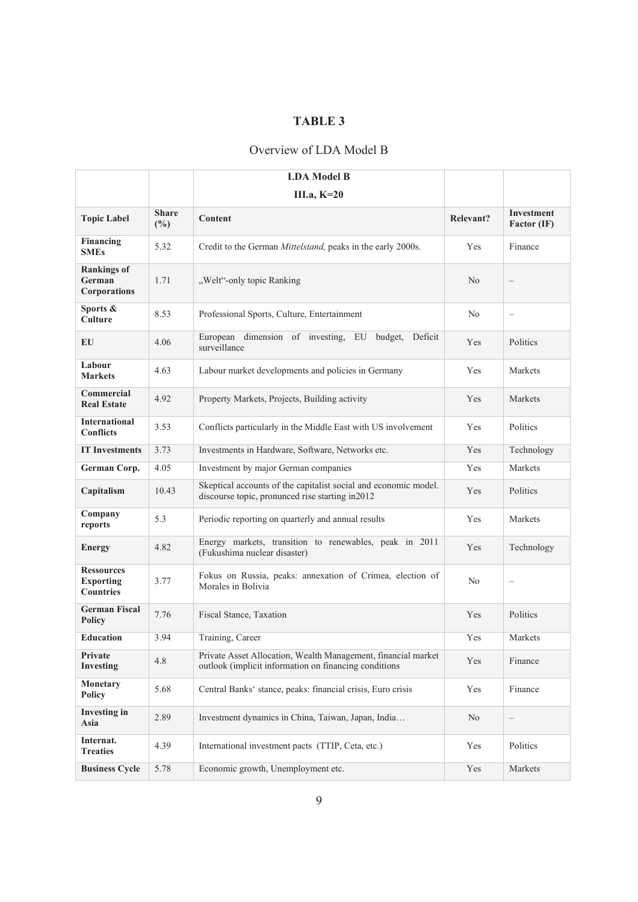## **TABLE 3**

## Overview of LDA Model B

| <b>Topic Label</b>                                        | <b>Share</b><br>$(\%)$ | <b>Content</b>                                                                                                         | Relevant?      | <b>Investment</b><br><b>Factor (IF)</b> |
|-----------------------------------------------------------|------------------------|------------------------------------------------------------------------------------------------------------------------|----------------|-----------------------------------------|
| <b>Financing</b><br><b>SMEs</b>                           | 5.32                   | Credit to the German Mittelstand, peaks in the early 2000s.                                                            | Yes            | Finance                                 |
| <b>Rankings of</b><br>German<br><b>Corporations</b>       | 1.71                   | "Welt"-only topic Ranking                                                                                              | N <sub>o</sub> | $\overline{\phantom{0}}$                |
| Sports &<br><b>Culture</b>                                | 8.53                   | Professional Sports, Culture, Entertainment                                                                            | No             | $\qquad \qquad -$                       |
| EU                                                        | 4.06                   | European dimension of investing, EU<br>budget,<br>Deficit<br>surveillance                                              | Yes            | Politics                                |
| Labour<br><b>Markets</b>                                  | 4.63                   | Labour market developments and policies in Germany                                                                     | Yes            | Markets                                 |
| Commercial<br><b>Real Estate</b>                          | 4.92                   | Property Markets, Projects, Building activity                                                                          | Yes            | Markets                                 |
| <b>International</b><br><b>Conflicts</b>                  | 3.53                   | Conflicts particularly in the Middle East with US involvement                                                          | Yes            | <b>Politics</b>                         |
| <b>IT Investments</b>                                     | 3.73                   | Investments in Hardware, Software, Networks etc.                                                                       | Yes            | Technology                              |
| German Corp.                                              | 4.05                   | Investment by major German companies                                                                                   | Yes            | Markets                                 |
| Capitalism                                                | 10.43                  | Skeptical accounts of the capitalist social and economic model.<br>discourse topic, pronunced rise starting in2012     | Yes            | Politics                                |
| Company<br>reports                                        | 5.3                    | Periodic reporting on quarterly and annual results                                                                     | Yes            | Markets                                 |
| <b>Energy</b>                                             | 4.82                   | Energy markets, transition to renewables, peak in 2011<br>(Fukushima nuclear disaster)                                 | Yes            | Technology                              |
| <b>Ressources</b><br><b>Exporting</b><br><b>Countries</b> | 3.77                   | Fokus on Russia, peaks: annexation of Crimea, election of<br>Morales in Bolivia                                        | No             | $\qquad \qquad -$                       |
| <b>German Fiscal</b><br><b>Policy</b>                     | 7.76                   | Fiscal Stance, Taxation                                                                                                | Yes            | Politics                                |
| <b>Education</b>                                          | 3.94                   | Training, Career                                                                                                       | Yes            | Markets                                 |
| Private<br><b>Investing</b>                               | 4.8                    | Private Asset Allocation, Wealth Management, financial market<br>outlook (implicit information on financing conditions | Yes            | Finance                                 |
| <b>Monetary</b><br><b>Policy</b>                          | 5.68                   | Central Banks' stance, peaks: financial crisis, Euro crisis                                                            | Yes            | Finance                                 |
| <b>Investing in</b><br>Asia                               | 2.89                   | Investment dynamics in China, Taiwan, Japan, India                                                                     | No             | $\qquad \qquad -$                       |
| Internat.<br><b>Treaties</b>                              | 4.39                   | International investment pacts (TTIP, Ceta, etc.)                                                                      | Yes            | Politics                                |
| <b>Business Cycle</b>                                     | 5.78                   | Economic growth, Unemployment etc.                                                                                     | Yes            | Markets                                 |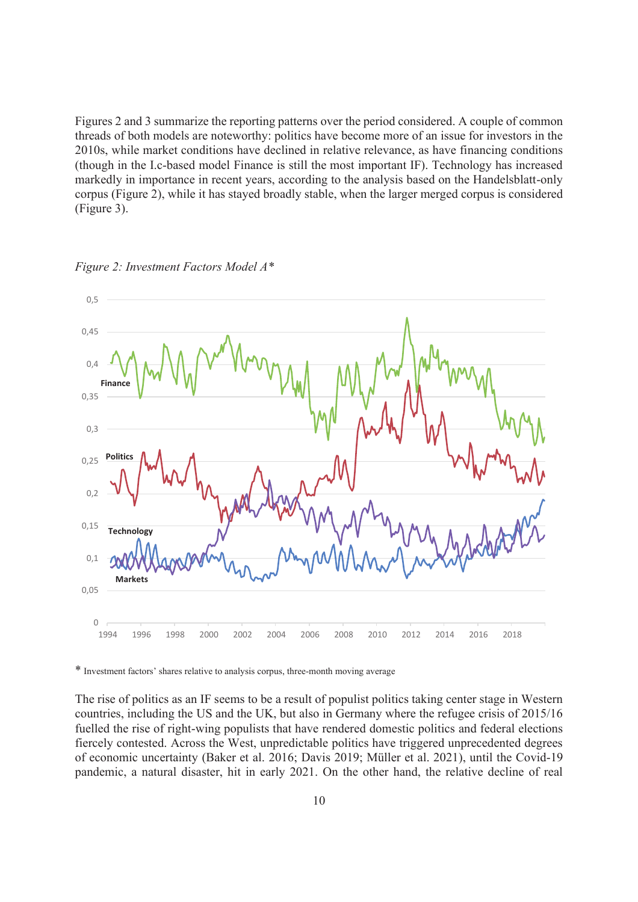Figures 2 and 3 summarize the reporting patterns over the period considered. A couple of common threads of both models are noteworthy: politics have become more of an issue for investors in the 2010s, while market conditions have declined in relative relevance, as have financing conditions (though in the I.c-based model Finance is still the most important IF). Technology has increased markedly in importance in recent years, according to the analysis based on the Handelsblatt-only corpus (Figure 2), while it has stayed broadly stable, when the larger merged corpus is considered (Figure 3).



*Figure 2: Investment Factors Model A\** 

\* Investment factors' shares relative to analysis corpus, three-month moving average

The rise of politics as an IF seems to be a result of populist politics taking center stage in Western countries, including the US and the UK, but also in Germany where the refugee crisis of 2015/16 fuelled the rise of right-wing populists that have rendered domestic politics and federal elections fiercely contested. Across the West, unpredictable politics have triggered unprecedented degrees of economic uncertainty (Baker et al. 2016; Davis 2019; Müller et al. 2021), until the Covid-19 pandemic, a natural disaster, hit in early 2021. On the other hand, the relative decline of real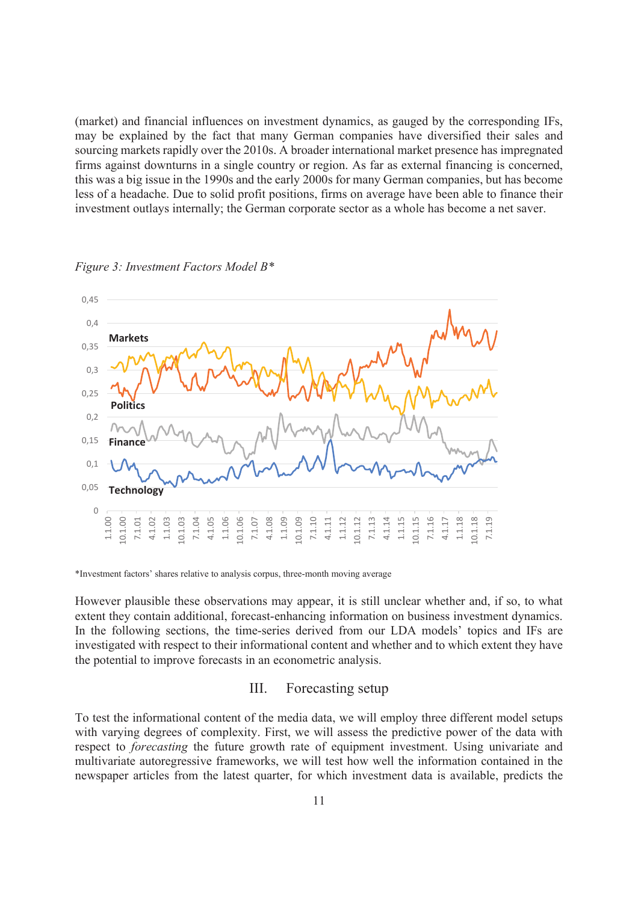(market) and financial influences on investment dynamics, as gauged by the corresponding IFs, may be explained by the fact that many German companies have diversified their sales and sourcing markets rapidly over the 2010s. A broader international market presence has impregnated firms against downturns in a single country or region. As far as external financing is concerned, this was a big issue in the 1990s and the early 2000s for many German companies, but has become less of a headache. Due to solid profit positions, firms on average have been able to finance their investment outlays internally; the German corporate sector as a whole has become a net saver.



*Figure 3: Investment Factors Model B\** 

\*Investment factors' shares relative to analysis corpus, three-month moving average

However plausible these observations may appear, it is still unclear whether and, if so, to what extent they contain additional, forecast-enhancing information on business investment dynamics. In the following sections, the time-series derived from our LDA models' topics and IFs are investigated with respect to their informational content and whether and to which extent they have the potential to improve forecasts in an econometric analysis.

## III. Forecasting setup

To test the informational content of the media data, we will employ three different model setups with varying degrees of complexity. First, we will assess the predictive power of the data with respect to *forecasting* the future growth rate of equipment investment. Using univariate and multivariate autoregressive frameworks, we will test how well the information contained in the newspaper articles from the latest quarter, for which investment data is available, predicts the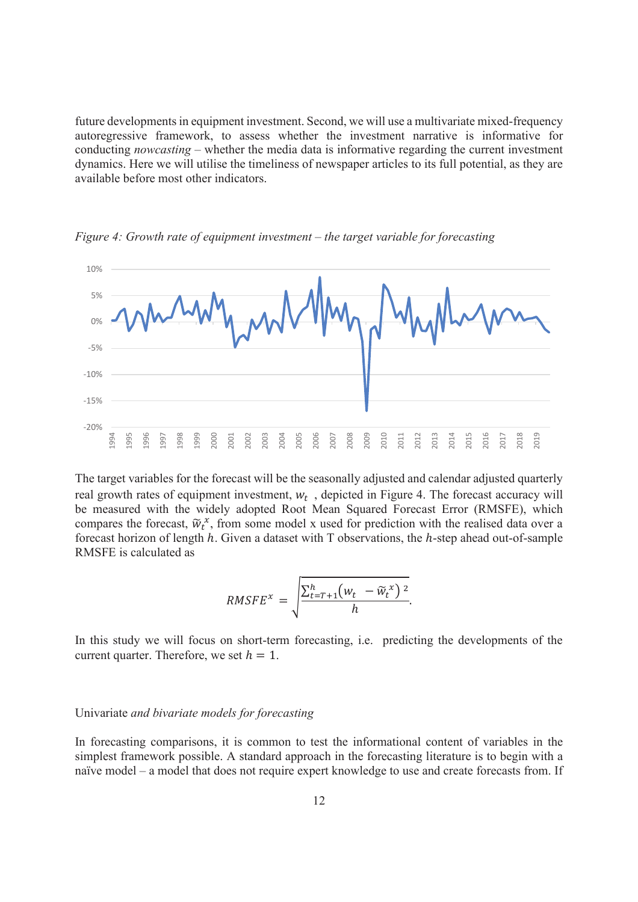future developments in equipment investment. Second, we will use a multivariate mixed-frequency autoregressive framework, to assess whether the investment narrative is informative for conducting *nowcasting* – whether the media data is informative regarding the current investment dynamics. Here we will utilise the timeliness of newspaper articles to its full potential, as they are available before most other indicators.



*Figure 4: Growth rate of equipment investment – the target variable for forecasting* 

The target variables for the forecast will be the seasonally adjusted and calendar adjusted quarterly real growth rates of equipment investment,  $w_t$ , depicted in Figure 4. The forecast accuracy will be measured with the widely adopted Root Mean Squared Forecast Error (RMSFE), which compares the forecast,  $\widetilde{w}_t^x$ , from some model x used for prediction with the realised data over a forecast horizon of length  $h$ . Given a dataset with T observations, the  $h$ -step ahead out-of-sample RMSFE is calculated as

$$
RMSFE^{x} = \sqrt{\frac{\sum_{t=T+1}^{h} (w_t - \widetilde{w}_t^{x})^2}{h}}.
$$

In this study we will focus on short-term forecasting, i.e. predicting the developments of the current quarter. Therefore, we set  $h = 1$ .

#### Univariate *and bivariate models for forecasting*

In forecasting comparisons, it is common to test the informational content of variables in the simplest framework possible. A standard approach in the forecasting literature is to begin with a naïve model – a model that does not require expert knowledge to use and create forecasts from. If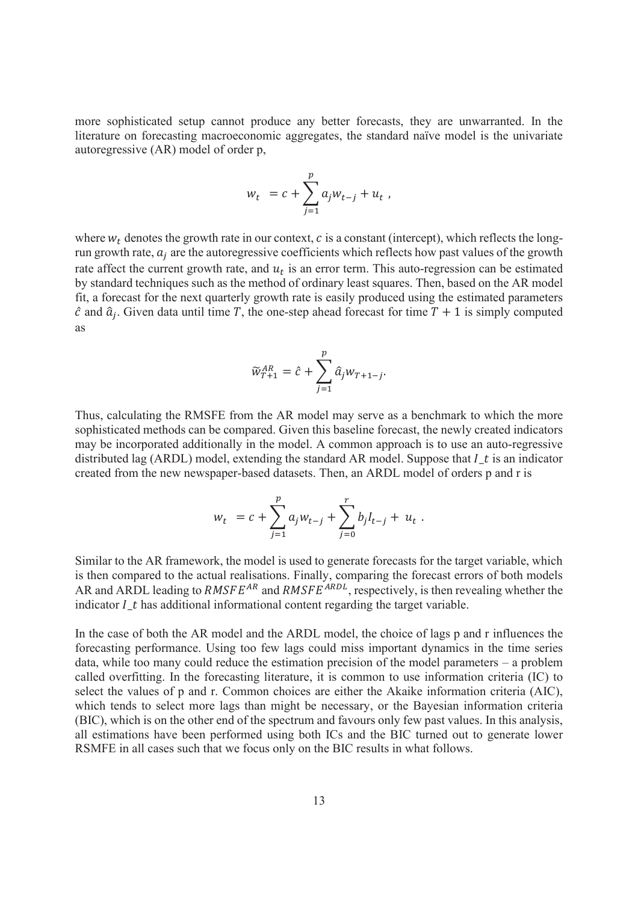more sophisticated setup cannot produce any better forecasts, they are unwarranted. In the literature on forecasting macroeconomic aggregates, the standard naïve model is the univariate autoregressive (AR) model of order p,

$$
w_t = c + \sum_{j=1}^p a_j w_{t-j} + u_t,
$$

where  $w_t$  denotes the growth rate in our context,  $c$  is a constant (intercept), which reflects the longrun growth rate,  $a_j$  are the autoregressive coefficients which reflects how past values of the growth rate affect the current growth rate, and  $u_t$  is an error term. This auto-regression can be estimated by standard techniques such as the method of ordinary least squares. Then, based on the AR model fit, a forecast for the next quarterly growth rate is easily produced using the estimated parameters  $\hat{c}$  and  $\hat{a}_j$ . Given data until time T, the one-step ahead forecast for time  $T + 1$  is simply computed as

$$
\widetilde{w}_{T+1}^{AR} = \hat{c} + \sum_{j=1}^{p} \hat{a}_j w_{T+1-j}.
$$

Thus, calculating the RMSFE from the AR model may serve as a benchmark to which the more sophisticated methods can be compared. Given this baseline forecast, the newly created indicators may be incorporated additionally in the model. A common approach is to use an auto-regressive distributed lag (ARDL) model, extending the standard AR model. Suppose that  $I_t$  is an indicator created from the new newspaper-based datasets. Then, an ARDL model of orders p and r is

$$
w_t = c + \sum_{j=1}^p a_j w_{t-j} + \sum_{j=0}^r b_j I_{t-j} + u_t.
$$

Similar to the AR framework, the model is used to generate forecasts for the target variable, which is then compared to the actual realisations. Finally, comparing the forecast errors of both models AR and ARDL leading to  $RMSFE^{AR}$  and  $RMSFE^{ARDL}$ , respectively, is then revealing whether the indicator  $I$  t has additional informational content regarding the target variable.

In the case of both the AR model and the ARDL model, the choice of lags p and r influences the forecasting performance. Using too few lags could miss important dynamics in the time series data, while too many could reduce the estimation precision of the model parameters – a problem called overfitting. In the forecasting literature, it is common to use information criteria (IC) to select the values of p and r. Common choices are either the Akaike information criteria (AIC), which tends to select more lags than might be necessary, or the Bayesian information criteria (BIC), which is on the other end of the spectrum and favours only few past values. In this analysis, all estimations have been performed using both ICs and the BIC turned out to generate lower RSMFE in all cases such that we focus only on the BIC results in what follows.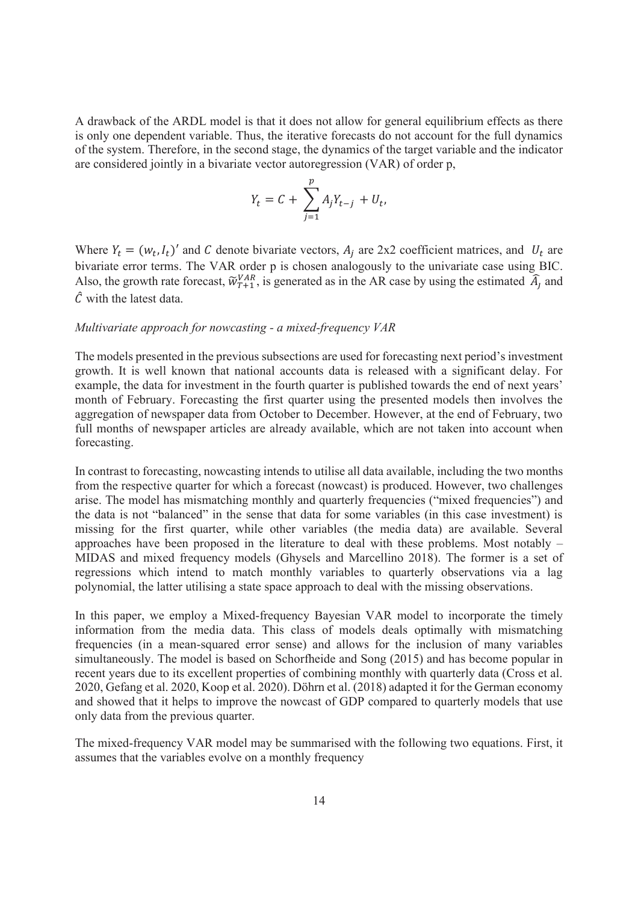A drawback of the ARDL model is that it does not allow for general equilibrium effects as there is only one dependent variable. Thus, the iterative forecasts do not account for the full dynamics of the system. Therefore, in the second stage, the dynamics of the target variable and the indicator are considered jointly in a bivariate vector autoregression (VAR) of order p,

$$
Y_t = C + \sum_{j=1}^p A_j Y_{t-j} + U_t,
$$

Where  $Y_t = (w_t, I_t)'$  and C denote bivariate vectors,  $A_j$  are 2x2 coefficient matrices, and  $U_t$  are bivariate error terms. The VAR order p is chosen analogously to the univariate case using BIC. Also, the growth rate forecast,  $\tilde{w}_{T+1}^{VAR}$ , is generated as in the AR case by using the estimated  $\hat{A}_j$  and  $\hat{C}$  with the latest data.

#### *Multivariate approach for nowcasting - a mixed-frequency VAR*

The models presented in the previous subsections are used for forecasting next period's investment growth. It is well known that national accounts data is released with a significant delay. For example, the data for investment in the fourth quarter is published towards the end of next years' month of February. Forecasting the first quarter using the presented models then involves the aggregation of newspaper data from October to December. However, at the end of February, two full months of newspaper articles are already available, which are not taken into account when forecasting.

In contrast to forecasting, nowcasting intends to utilise all data available, including the two months from the respective quarter for which a forecast (nowcast) is produced. However, two challenges arise. The model has mismatching monthly and quarterly frequencies ("mixed frequencies") and the data is not "balanced" in the sense that data for some variables (in this case investment) is missing for the first quarter, while other variables (the media data) are available. Several approaches have been proposed in the literature to deal with these problems. Most notably – MIDAS and mixed frequency models (Ghysels and Marcellino 2018). The former is a set of regressions which intend to match monthly variables to quarterly observations via a lag polynomial, the latter utilising a state space approach to deal with the missing observations.

In this paper, we employ a Mixed-frequency Bayesian VAR model to incorporate the timely information from the media data. This class of models deals optimally with mismatching frequencies (in a mean-squared error sense) and allows for the inclusion of many variables simultaneously. The model is based on Schorfheide and Song (2015) and has become popular in recent years due to its excellent properties of combining monthly with quarterly data (Cross et al. 2020, Gefang et al. 2020, Koop et al. 2020). Döhrn et al. (2018) adapted it for the German economy and showed that it helps to improve the nowcast of GDP compared to quarterly models that use only data from the previous quarter.

The mixed-frequency VAR model may be summarised with the following two equations. First, it assumes that the variables evolve on a monthly frequency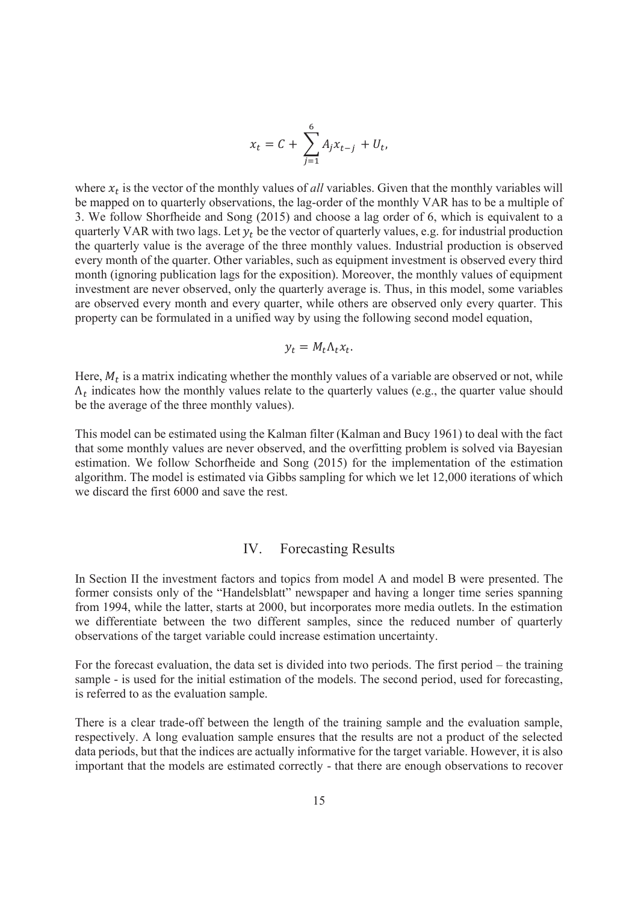$$
x_t = C + \sum_{j=1}^{6} A_j x_{t-j} + U_t,
$$

where  $x_t$  is the vector of the monthly values of *all* variables. Given that the monthly variables will be mapped on to quarterly observations, the lag-order of the monthly VAR has to be a multiple of 3. We follow Shorfheide and Song (2015) and choose a lag order of 6, which is equivalent to a quarterly VAR with two lags. Let  $y_t$  be the vector of quarterly values, e.g. for industrial production the quarterly value is the average of the three monthly values. Industrial production is observed every month of the quarter. Other variables, such as equipment investment is observed every third month (ignoring publication lags for the exposition). Moreover, the monthly values of equipment investment are never observed, only the quarterly average is. Thus, in this model, some variables are observed every month and every quarter, while others are observed only every quarter. This property can be formulated in a unified way by using the following second model equation,

$$
y_t = M_t \Lambda_t x_t.
$$

Here,  $M_t$  is a matrix indicating whether the monthly values of a variable are observed or not, while  $\Lambda_t$  indicates how the monthly values relate to the quarterly values (e.g., the quarter value should be the average of the three monthly values).

This model can be estimated using the Kalman filter (Kalman and Bucy 1961) to deal with the fact that some monthly values are never observed, and the overfitting problem is solved via Bayesian estimation. We follow Schorfheide and Song (2015) for the implementation of the estimation algorithm. The model is estimated via Gibbs sampling for which we let 12,000 iterations of which we discard the first 6000 and save the rest.

## IV. Forecasting Results

In Section II the investment factors and topics from model A and model B were presented. The former consists only of the "Handelsblatt" newspaper and having a longer time series spanning from 1994, while the latter, starts at 2000, but incorporates more media outlets. In the estimation we differentiate between the two different samples, since the reduced number of quarterly observations of the target variable could increase estimation uncertainty.

For the forecast evaluation, the data set is divided into two periods. The first period – the training sample - is used for the initial estimation of the models. The second period, used for forecasting, is referred to as the evaluation sample.

There is a clear trade-off between the length of the training sample and the evaluation sample, respectively. A long evaluation sample ensures that the results are not a product of the selected data periods, but that the indices are actually informative for the target variable. However, it is also important that the models are estimated correctly - that there are enough observations to recover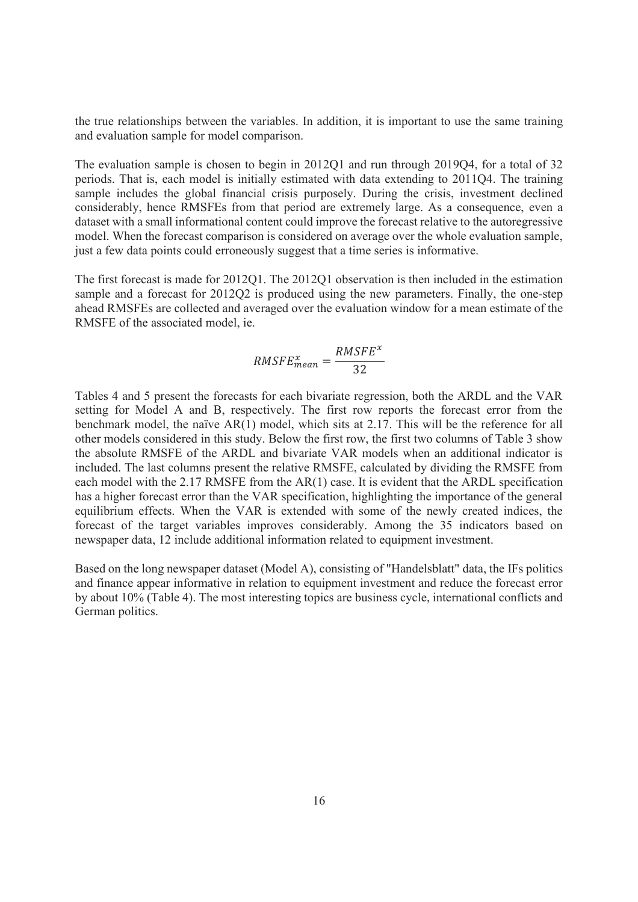the true relationships between the variables. In addition, it is important to use the same training and evaluation sample for model comparison.

The evaluation sample is chosen to begin in 2012Q1 and run through 2019Q4, for a total of 32 periods. That is, each model is initially estimated with data extending to 2011Q4. The training sample includes the global financial crisis purposely. During the crisis, investment declined considerably, hence RMSFEs from that period are extremely large. As a consequence, even a dataset with a small informational content could improve the forecast relative to the autoregressive model. When the forecast comparison is considered on average over the whole evaluation sample, just a few data points could erroneously suggest that a time series is informative.

The first forecast is made for 2012Q1. The 2012Q1 observation is then included in the estimation sample and a forecast for 2012Q2 is produced using the new parameters. Finally, the one-step ahead RMSFEs are collected and averaged over the evaluation window for a mean estimate of the RMSFE of the associated model, ie.

$$
RMSFE_{mean}^{x} = \frac{RMSFE^{x}}{32}
$$

Tables 4 and 5 present the forecasts for each bivariate regression, both the ARDL and the VAR setting for Model A and B, respectively. The first row reports the forecast error from the benchmark model, the naïve AR(1) model, which sits at 2.17. This will be the reference for all other models considered in this study. Below the first row, the first two columns of Table 3 show the absolute RMSFE of the ARDL and bivariate VAR models when an additional indicator is included. The last columns present the relative RMSFE, calculated by dividing the RMSFE from each model with the 2.17 RMSFE from the AR(1) case. It is evident that the ARDL specification has a higher forecast error than the VAR specification, highlighting the importance of the general equilibrium effects. When the VAR is extended with some of the newly created indices, the forecast of the target variables improves considerably. Among the 35 indicators based on newspaper data, 12 include additional information related to equipment investment.

Based on the long newspaper dataset (Model A), consisting of "Handelsblatt" data, the IFs politics and finance appear informative in relation to equipment investment and reduce the forecast error by about 10% (Table 4). The most interesting topics are business cycle, international conflicts and German politics.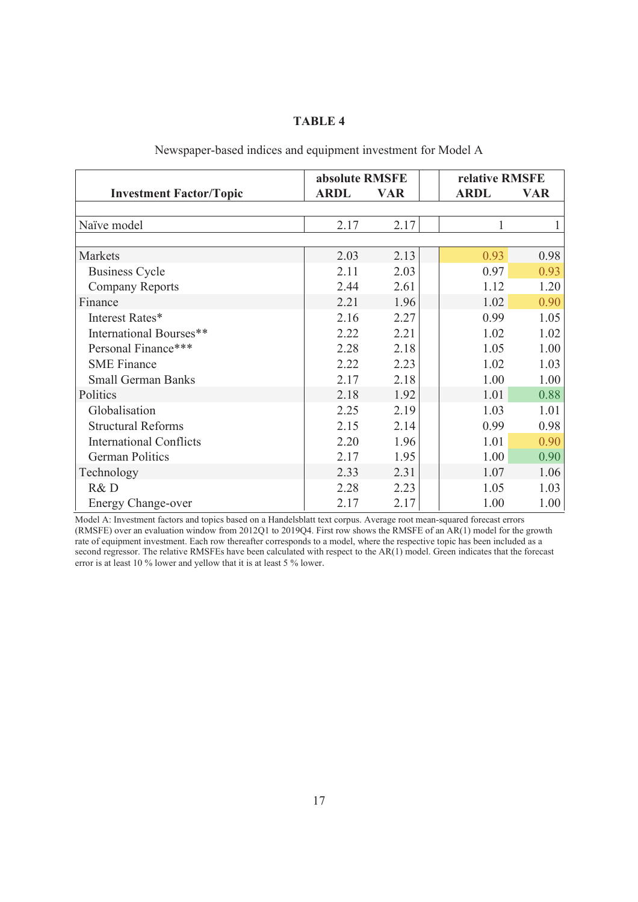## **TABLE 4**

|                                | absolute RMSFE |            | relative RMSFE |            |  |  |
|--------------------------------|----------------|------------|----------------|------------|--|--|
| <b>Investment Factor/Topic</b> | <b>ARDL</b>    | <b>VAR</b> | <b>ARDL</b>    | <b>VAR</b> |  |  |
|                                |                |            |                |            |  |  |
| Naïve model                    | 2.17           | 2.17       |                |            |  |  |
|                                |                |            |                |            |  |  |
| <b>Markets</b>                 | 2.03           | 2.13       | 0.93           | 0.98       |  |  |
| <b>Business Cycle</b>          | 2.11           | 2.03       | 0.97           | 0.93       |  |  |
| <b>Company Reports</b>         | 2.44           | 2.61       | 1.12           | 1.20       |  |  |
| Finance                        | 2.21           | 1.96       | 1.02           | 0.90       |  |  |
| Interest Rates*                | 2.16           | 2.27       | 0.99           | 1.05       |  |  |
| International Bourses**        | 2.22           | 2.21       | 1.02           | 1.02       |  |  |
| Personal Finance***            | 2.28           | 2.18       | 1.05           | 1.00       |  |  |
| <b>SME Finance</b>             | 2.22           | 2.23       | 1.02           | 1.03       |  |  |
| <b>Small German Banks</b>      | 2.17           | 2.18       | 1.00           | 1.00       |  |  |
| Politics                       | 2.18           | 1.92       | 1.01           | 0.88       |  |  |
| Globalisation                  | 2.25           | 2.19       | 1.03           | 1.01       |  |  |
| <b>Structural Reforms</b>      | 2.15           | 2.14       | 0.99           | 0.98       |  |  |
| <b>International Conflicts</b> | 2.20           | 1.96       | 1.01           | 0.90       |  |  |
| <b>German Politics</b>         | 2.17           | 1.95       | 1.00           | 0.90       |  |  |
| Technology                     | 2.33           | 2.31       | 1.07           | 1.06       |  |  |
| R&D                            | 2.28           | 2.23       | 1.05           | 1.03       |  |  |
| <b>Energy Change-over</b>      | 2.17           | 2.17       | 1.00           | 1.00       |  |  |

## Newspaper-based indices and equipment investment for Model A

Model A: Investment factors and topics based on a Handelsblatt text corpus. Average root mean-squared forecast errors (RMSFE) over an evaluation window from 2012Q1 to 2019Q4. First row shows the RMSFE of an AR(1) model for the growth rate of equipment investment. Each row thereafter corresponds to a model, where the respective topic has been included as a second regressor. The relative RMSFEs have been calculated with respect to the AR(1) model. Green indicates that the forecast error is at least 10 % lower and yellow that it is at least 5 % lower.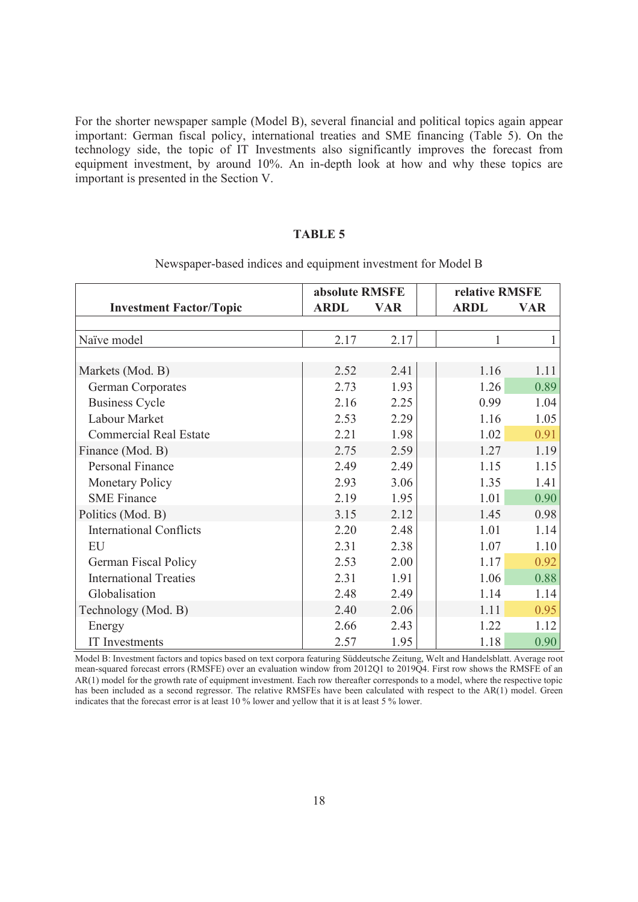For the shorter newspaper sample (Model B), several financial and political topics again appear important: German fiscal policy, international treaties and SME financing (Table 5). On the technology side, the topic of IT Investments also significantly improves the forecast from equipment investment, by around 10%. An in-depth look at how and why these topics are important is presented in the Section V.

## **TABLE 5**

|                                | absolute RMSFE |            | relative RMSFE |            |
|--------------------------------|----------------|------------|----------------|------------|
| <b>Investment Factor/Topic</b> | <b>ARDL</b>    | <b>VAR</b> | <b>ARDL</b>    | <b>VAR</b> |
|                                |                |            |                |            |
| Naïve model                    | 2.17           | 2.17       |                |            |
|                                |                |            |                |            |
| Markets (Mod. B)               | 2.52           | 2.41       | 1.16           | 1.11       |
| German Corporates              | 2.73           | 1.93       | 1.26           | 0.89       |
| <b>Business Cycle</b>          | 2.16           | 2.25       | 0.99           | 1.04       |
| Labour Market                  | 2.53           | 2.29       | 1.16           | 1.05       |
| <b>Commercial Real Estate</b>  | 2.21           | 1.98       | 1.02           | 0.91       |
| Finance (Mod. B)               | 2.75           | 2.59       | 1.27           | 1.19       |
| <b>Personal Finance</b>        | 2.49           | 2.49       | 1.15           | 1.15       |
| <b>Monetary Policy</b>         | 2.93           | 3.06       | 1.35           | 1.41       |
| <b>SME</b> Finance             | 2.19           | 1.95       | 1.01           | 0.90       |
| Politics (Mod. B)              | 3.15           | 2.12       | 1.45           | 0.98       |
| <b>International Conflicts</b> | 2.20           | 2.48       | 1.01           | 1.14       |
| EU                             | 2.31           | 2.38       | 1.07           | 1.10       |
| <b>German Fiscal Policy</b>    | 2.53           | 2.00       | 1.17           | 0.92       |
| <b>International Treaties</b>  | 2.31           | 1.91       | 1.06           | 0.88       |
| Globalisation                  | 2.48           | 2.49       | 1.14           | 1.14       |
| Technology (Mod. B)            | 2.40           | 2.06       | 1.11           | 0.95       |
| Energy                         | 2.66           | 2.43       | 1.22           | 1.12       |
| IT Investments                 | 2.57           | 1.95       | 1.18           | 0.90       |

Newspaper-based indices and equipment investment for Model B

Model B: Investment factors and topics based on text corpora featuring Süddeutsche Zeitung, Welt and Handelsblatt. Average root mean-squared forecast errors (RMSFE) over an evaluation window from 2012Q1 to 2019Q4. First row shows the RMSFE of an AR(1) model for the growth rate of equipment investment. Each row thereafter corresponds to a model, where the respective topic has been included as a second regressor. The relative RMSFEs have been calculated with respect to the AR(1) model. Green indicates that the forecast error is at least 10 % lower and yellow that it is at least 5 % lower.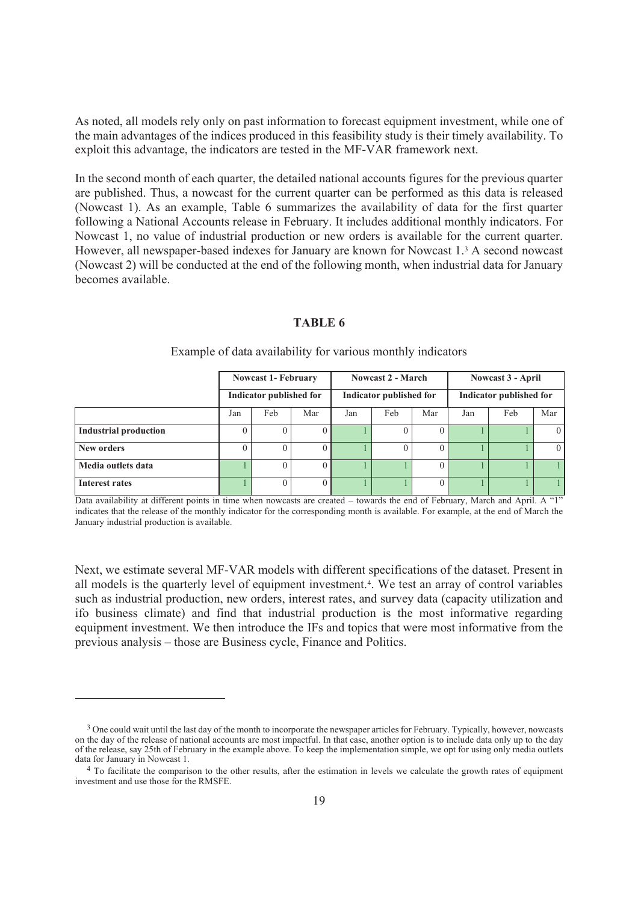As noted, all models rely only on past information to forecast equipment investment, while one of the main advantages of the indices produced in this feasibility study is their timely availability. To exploit this advantage, the indicators are tested in the MF-VAR framework next.

In the second month of each quarter, the detailed national accounts figures for the previous quarter are published. Thus, a nowcast for the current quarter can be performed as this data is released (Nowcast 1). As an example, Table 6 summarizes the availability of data for the first quarter following a National Accounts release in February. It includes additional monthly indicators. For Nowcast 1, no value of industrial production or new orders is available for the current quarter. However, all newspaper-based indexes for January are known for Nowcast 1.<sup>3</sup> A second nowcast (Nowcast 2) will be conducted at the end of the following month, when industrial data for January becomes available.

## **TABLE 6**

|                              | <b>Nowcast 1- February</b><br>Indicator published for |     |     | <b>Nowcast 2 - March</b><br>Indicator published for |          |          | <b>Nowcast 3 - April</b> |     |          |
|------------------------------|-------------------------------------------------------|-----|-----|-----------------------------------------------------|----------|----------|--------------------------|-----|----------|
|                              |                                                       |     |     |                                                     |          |          | Indicator published for  |     |          |
|                              | Jan                                                   | Feb | Mar | Jan                                                 | Feb      | Mar      | Jan                      | Feb | Mar      |
| <b>Industrial production</b> |                                                       |     | U   |                                                     |          |          |                          |     | $\left($ |
| New orders                   |                                                       |     | O   |                                                     | $\theta$ | $\theta$ |                          |     | $\theta$ |
| Media outlets data           |                                                       |     |     |                                                     |          |          |                          |     |          |
| Interest rates               |                                                       |     | O   |                                                     |          |          |                          |     |          |

Example of data availability for various monthly indicators

Data availability at different points in time when nowcasts are created – towards the end of February, March and April. A "1" indicates that the release of the monthly indicator for the corresponding month is available. For example, at the end of March the January industrial production is available.

Next, we estimate several MF-VAR models with different specifications of the dataset. Present in all models is the quarterly level of equipment investment.<sup>4</sup>. We test an array of control variables such as industrial production, new orders, interest rates, and survey data (capacity utilization and ifo business climate) and find that industrial production is the most informative regarding equipment investment. We then introduce the IFs and topics that were most informative from the previous analysis – those are Business cycle, Finance and Politics.

<sup>&</sup>lt;sup>3</sup> One could wait until the last day of the month to incorporate the newspaper articles for February. Typically, however, nowcasts on the day of the release of national accounts are most impactful. In that case, another option is to include data only up to the day of the release, say 25th of February in the example above. To keep the implementation simple, we opt for using only media outlets data for January in Nowcast 1.

<sup>4</sup> To facilitate the comparison to the other results, after the estimation in levels we calculate the growth rates of equipment investment and use those for the RMSFE.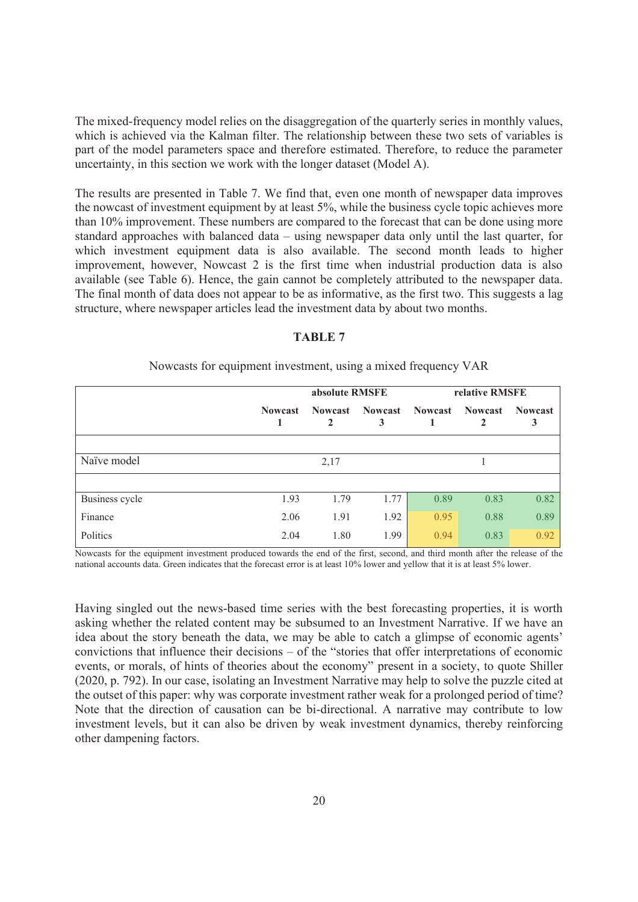The mixed-frequency model relies on the disaggregation of the quarterly series in monthly values, which is achieved via the Kalman filter. The relationship between these two sets of variables is part of the model parameters space and therefore estimated. Therefore, to reduce the parameter uncertainty, in this section we work with the longer dataset (Model A).

The results are presented in Table 7. We find that, even one month of newspaper data improves the nowcast of investment equipment by at least 5%, while the business cycle topic achieves more than 10% improvement. These numbers are compared to the forecast that can be done using more standard approaches with balanced data – using newspaper data only until the last quarter, for which investment equipment data is also available. The second month leads to higher improvement, however, Nowcast 2 is the first time when industrial production data is also available (see Table 6). Hence, the gain cannot be completely attributed to the newspaper data. The final month of data does not appear to be as informative, as the first two. This suggests a lag structure, where newspaper articles lead the investment data by about two months.

## **TABLE 7**

|                |                | absolute RMSFE      |                     | relative RMSFE |                |                     |  |
|----------------|----------------|---------------------|---------------------|----------------|----------------|---------------------|--|
|                | <b>Nowcast</b> | <b>Nowcast</b><br>2 | <b>Nowcast</b><br>3 | <b>Nowcast</b> | <b>Nowcast</b> | <b>Nowcast</b><br>3 |  |
|                |                |                     |                     |                |                |                     |  |
| Naïve model    |                | 2,17                |                     |                |                |                     |  |
|                |                |                     |                     |                |                |                     |  |
| Business cycle | 1.93           | 1.79                | 1.77                | 0.89           | 0.83           | 0.82                |  |
| Finance        | 2.06           | 1.91                | 1.92                | 0.95           | 0.88           | 0.89                |  |
| Politics       | 2.04           | 1.80                | 1.99                | 0.94           | 0.83           | 0.92                |  |

Nowcasts for equipment investment, using a mixed frequency VAR

Nowcasts for the equipment investment produced towards the end of the first, second, and third month after the release of the national accounts data. Green indicates that the forecast error is at least 10% lower and yellow that it is at least 5% lower.

Having singled out the news-based time series with the best forecasting properties, it is worth asking whether the related content may be subsumed to an Investment Narrative. If we have an idea about the story beneath the data, we may be able to catch a glimpse of economic agents' convictions that influence their decisions – of the "stories that offer interpretations of economic events, or morals, of hints of theories about the economy" present in a society, to quote Shiller (2020, p. 792). In our case, isolating an Investment Narrative may help to solve the puzzle cited at the outset of this paper: why was corporate investment rather weak for a prolonged period of time? Note that the direction of causation can be bi-directional. A narrative may contribute to low investment levels, but it can also be driven by weak investment dynamics, thereby reinforcing other dampening factors.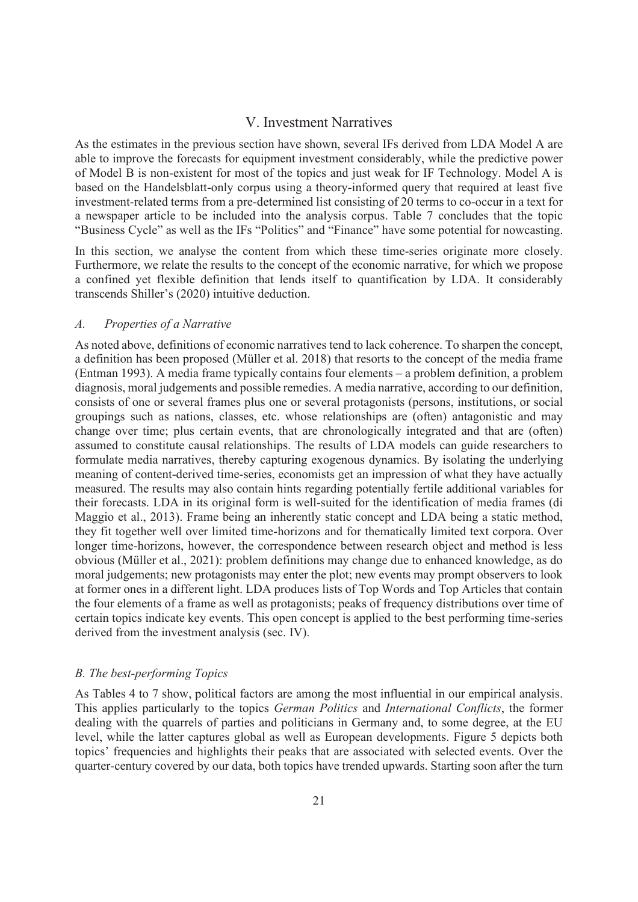## V. Investment Narratives

As the estimates in the previous section have shown, several IFs derived from LDA Model A are able to improve the forecasts for equipment investment considerably, while the predictive power of Model B is non-existent for most of the topics and just weak for IF Technology. Model A is based on the Handelsblatt-only corpus using a theory-informed query that required at least five investment-related terms from a pre-determined list consisting of 20 terms to co-occur in a text for a newspaper article to be included into the analysis corpus. Table 7 concludes that the topic "Business Cycle" as well as the IFs "Politics" and "Finance" have some potential for nowcasting.

In this section, we analyse the content from which these time-series originate more closely. Furthermore, we relate the results to the concept of the economic narrative, for which we propose a confined yet flexible definition that lends itself to quantification by LDA. It considerably transcends Shiller's (2020) intuitive deduction.

## *A. Properties of a Narrative*

As noted above, definitions of economic narratives tend to lack coherence. To sharpen the concept, a definition has been proposed (Müller et al. 2018) that resorts to the concept of the media frame (Entman 1993). A media frame typically contains four elements – a problem definition, a problem diagnosis, moral judgements and possible remedies. A media narrative, according to our definition, consists of one or several frames plus one or several protagonists (persons, institutions, or social groupings such as nations, classes, etc. whose relationships are (often) antagonistic and may change over time; plus certain events, that are chronologically integrated and that are (often) assumed to constitute causal relationships. The results of LDA models can guide researchers to formulate media narratives, thereby capturing exogenous dynamics. By isolating the underlying meaning of content-derived time-series, economists get an impression of what they have actually measured. The results may also contain hints regarding potentially fertile additional variables for their forecasts. LDA in its original form is well-suited for the identification of media frames (di Maggio et al., 2013). Frame being an inherently static concept and LDA being a static method, they fit together well over limited time-horizons and for thematically limited text corpora. Over longer time-horizons, however, the correspondence between research object and method is less obvious (Müller et al., 2021): problem definitions may change due to enhanced knowledge, as do moral judgements; new protagonists may enter the plot; new events may prompt observers to look at former ones in a different light. LDA produces lists of Top Words and Top Articles that contain the four elements of a frame as well as protagonists; peaks of frequency distributions over time of certain topics indicate key events. This open concept is applied to the best performing time-series derived from the investment analysis (sec. IV).

## *B. The best-performing Topics*

As Tables 4 to 7 show, political factors are among the most influential in our empirical analysis. This applies particularly to the topics *German Politics* and *International Conflicts*, the former dealing with the quarrels of parties and politicians in Germany and, to some degree, at the EU level, while the latter captures global as well as European developments. Figure 5 depicts both topics' frequencies and highlights their peaks that are associated with selected events. Over the quarter-century covered by our data, both topics have trended upwards. Starting soon after the turn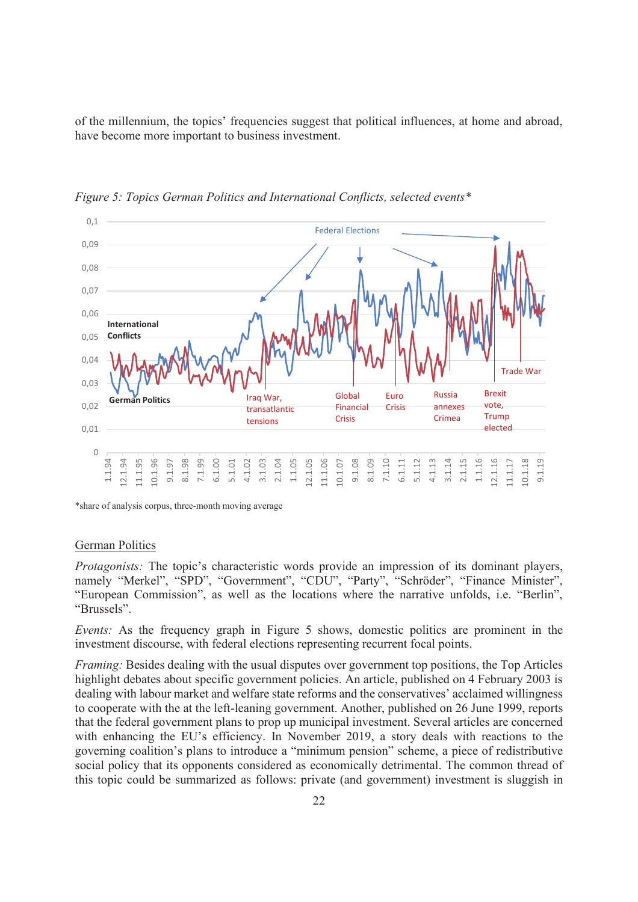of the millennium, the topics' frequencies suggest that political influences, at home and abroad, have become more important to business investment.



*Figure 5: Topics German Politics and International Conflicts, selected events\** 

\*share of analysis corpus, three-month moving average

## German Politics

*Protagonists:* The topic's characteristic words provide an impression of its dominant players, namely "Merkel", "SPD", "Government", "CDU", "Party", "Schröder", "Finance Minister", "European Commission", as well as the locations where the narrative unfolds, i.e. "Berlin", "Brussels".

*Events:* As the frequency graph in Figure 5 shows, domestic politics are prominent in the investment discourse, with federal elections representing recurrent focal points.

*Framing:* Besides dealing with the usual disputes over government top positions, the Top Articles highlight debates about specific government policies. An article, published on 4 February 2003 is dealing with labour market and welfare state reforms and the conservatives' acclaimed willingness to cooperate with the at the left-leaning government. Another, published on 26 June 1999, reports that the federal government plans to prop up municipal investment. Several articles are concerned with enhancing the EU's efficiency. In November 2019, a story deals with reactions to the governing coalition's plans to introduce a "minimum pension" scheme, a piece of redistributive social policy that its opponents considered as economically detrimental. The common thread of this topic could be summarized as follows: private (and government) investment is sluggish in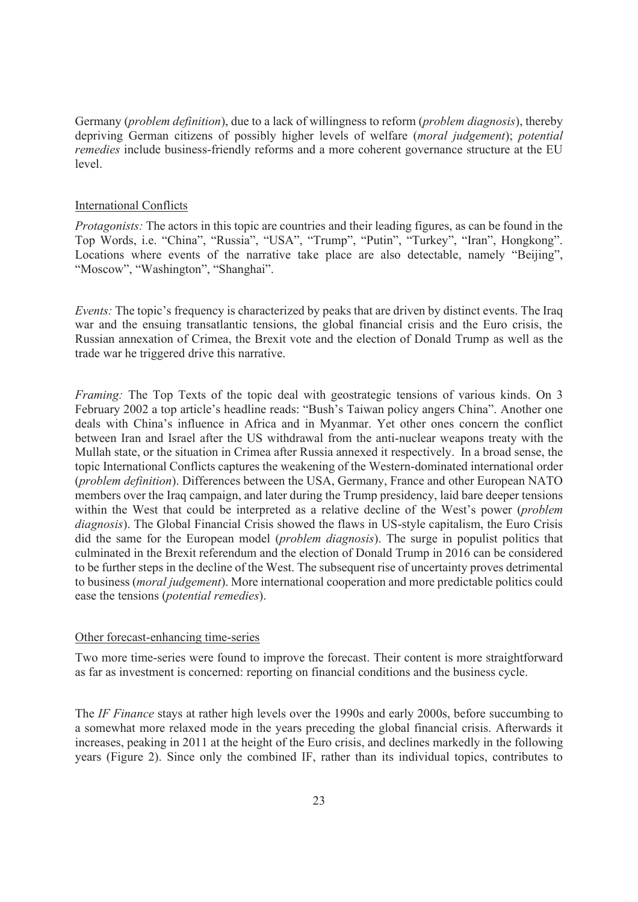Germany (*problem definition*), due to a lack of willingness to reform (*problem diagnosis*), thereby depriving German citizens of possibly higher levels of welfare (*moral judgement*); *potential remedies* include business-friendly reforms and a more coherent governance structure at the EU level.

## International Conflicts

*Protagonists:* The actors in this topic are countries and their leading figures, as can be found in the Top Words, i.e. "China", "Russia", "USA", "Trump", "Putin", "Turkey", "Iran", Hongkong". Locations where events of the narrative take place are also detectable, namely "Beijing", "Moscow", "Washington", "Shanghai".

*Events:* The topic's frequency is characterized by peaks that are driven by distinct events. The Iraq war and the ensuing transatlantic tensions, the global financial crisis and the Euro crisis, the Russian annexation of Crimea, the Brexit vote and the election of Donald Trump as well as the trade war he triggered drive this narrative.

*Framing:* The Top Texts of the topic deal with geostrategic tensions of various kinds. On 3 February 2002 a top article's headline reads: "Bush's Taiwan policy angers China". Another one deals with China's influence in Africa and in Myanmar. Yet other ones concern the conflict between Iran and Israel after the US withdrawal from the anti-nuclear weapons treaty with the Mullah state, or the situation in Crimea after Russia annexed it respectively. In a broad sense, the topic International Conflicts captures the weakening of the Western-dominated international order (*problem definition*). Differences between the USA, Germany, France and other European NATO members over the Iraq campaign, and later during the Trump presidency, laid bare deeper tensions within the West that could be interpreted as a relative decline of the West's power (*problem diagnosis*). The Global Financial Crisis showed the flaws in US-style capitalism, the Euro Crisis did the same for the European model (*problem diagnosis*). The surge in populist politics that culminated in the Brexit referendum and the election of Donald Trump in 2016 can be considered to be further steps in the decline of the West. The subsequent rise of uncertainty proves detrimental to business (*moral judgement*). More international cooperation and more predictable politics could ease the tensions (*potential remedies*).

## Other forecast-enhancing time-series

Two more time-series were found to improve the forecast. Their content is more straightforward as far as investment is concerned: reporting on financial conditions and the business cycle.

The *IF Finance* stays at rather high levels over the 1990s and early 2000s, before succumbing to a somewhat more relaxed mode in the years preceding the global financial crisis. Afterwards it increases, peaking in 2011 at the height of the Euro crisis, and declines markedly in the following years (Figure 2). Since only the combined IF, rather than its individual topics, contributes to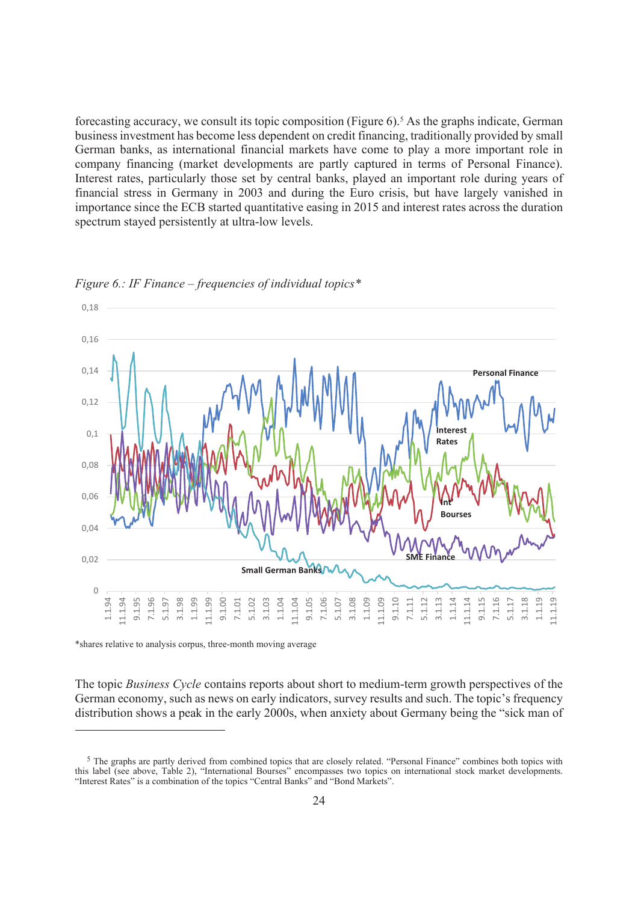forecasting accuracy, we consult its topic composition (Figure 6).<sup>5</sup> As the graphs indicate, German business investment has become less dependent on credit financing, traditionally provided by small German banks, as international financial markets have come to play a more important role in company financing (market developments are partly captured in terms of Personal Finance). Interest rates, particularly those set by central banks, played an important role during years of financial stress in Germany in 2003 and during the Euro crisis, but have largely vanished in importance since the ECB started quantitative easing in 2015 and interest rates across the duration spectrum stayed persistently at ultra-low levels.



*Figure 6.: IF Finance – frequencies of individual topics\** 

\*shares relative to analysis corpus, three-month moving average

The topic *Business Cycle* contains reports about short to medium-term growth perspectives of the German economy, such as news on early indicators, survey results and such. The topic's frequency distribution shows a peak in the early 2000s, when anxiety about Germany being the "sick man of

 $5$  The graphs are partly derived from combined topics that are closely related. "Personal Finance" combines both topics with this label (see above, Table 2), "International Bourses" encompasses two topics on international stock market developments. "Interest Rates" is a combination of the topics "Central Banks" and "Bond Markets".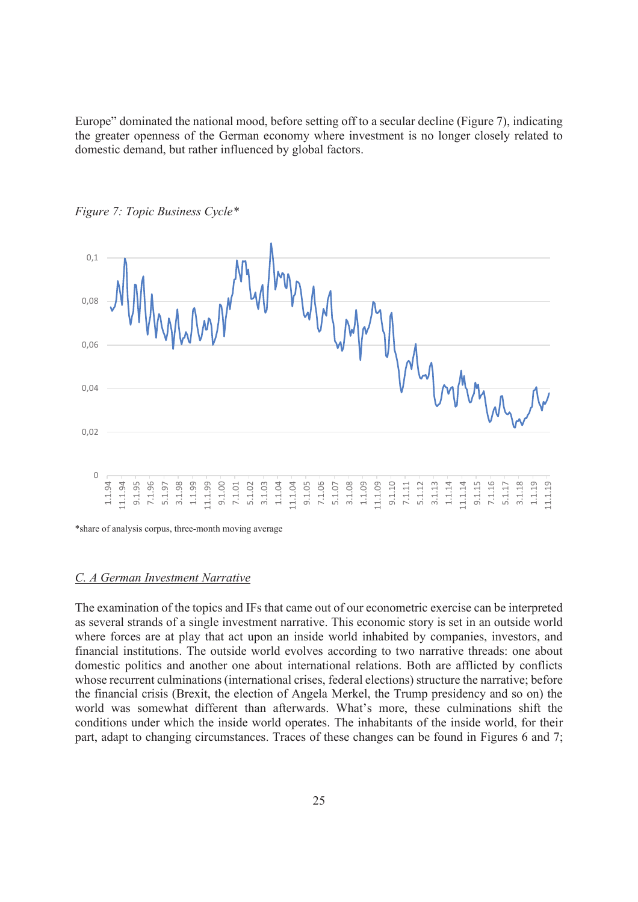Europe" dominated the national mood, before setting off to a secular decline (Figure 7), indicating the greater openness of the German economy where investment is no longer closely related to domestic demand, but rather influenced by global factors.



*Figure 7: Topic Business Cycle\** 

\*share of analysis corpus, three-month moving average

#### *C. A German Investment Narrative*

The examination of the topics and IFs that came out of our econometric exercise can be interpreted as several strands of a single investment narrative. This economic story is set in an outside world where forces are at play that act upon an inside world inhabited by companies, investors, and financial institutions. The outside world evolves according to two narrative threads: one about domestic politics and another one about international relations. Both are afflicted by conflicts whose recurrent culminations (international crises, federal elections) structure the narrative; before the financial crisis (Brexit, the election of Angela Merkel, the Trump presidency and so on) the world was somewhat different than afterwards. What's more, these culminations shift the conditions under which the inside world operates. The inhabitants of the inside world, for their part, adapt to changing circumstances. Traces of these changes can be found in Figures 6 and 7;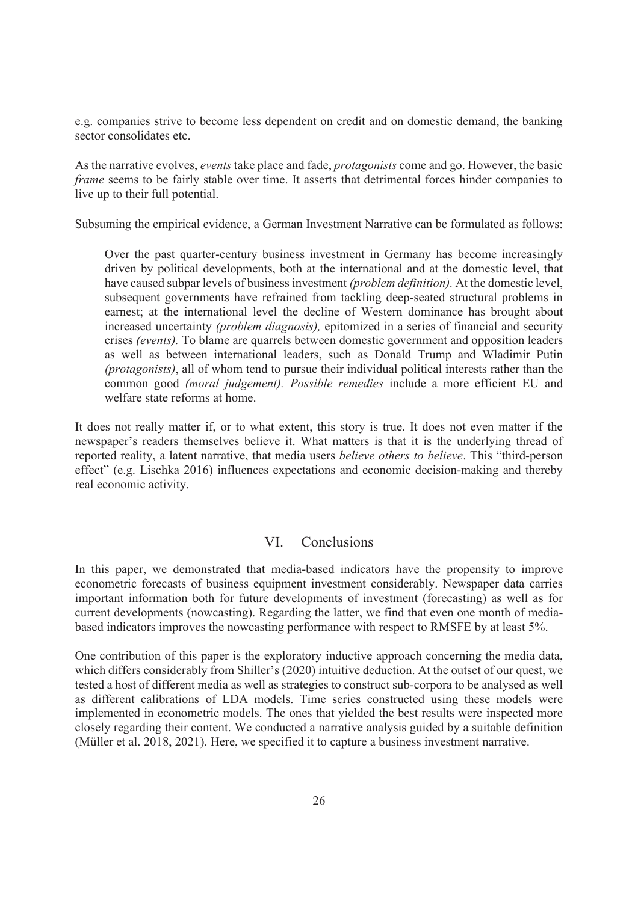e.g. companies strive to become less dependent on credit and on domestic demand, the banking sector consolidates etc.

As the narrative evolves, *events* take place and fade, *protagonists* come and go. However, the basic *frame* seems to be fairly stable over time. It asserts that detrimental forces hinder companies to live up to their full potential.

Subsuming the empirical evidence, a German Investment Narrative can be formulated as follows:

Over the past quarter-century business investment in Germany has become increasingly driven by political developments, both at the international and at the domestic level, that have caused subpar levels of business investment *(problem definition).* At the domestic level, subsequent governments have refrained from tackling deep-seated structural problems in earnest; at the international level the decline of Western dominance has brought about increased uncertainty *(problem diagnosis),* epitomized in a series of financial and security crises *(events).* To blame are quarrels between domestic government and opposition leaders as well as between international leaders, such as Donald Trump and Wladimir Putin *(protagonists)*, all of whom tend to pursue their individual political interests rather than the common good *(moral judgement). Possible remedies* include a more efficient EU and welfare state reforms at home.

It does not really matter if, or to what extent, this story is true. It does not even matter if the newspaper's readers themselves believe it. What matters is that it is the underlying thread of reported reality, a latent narrative, that media users *believe others to believe*. This "third-person effect" (e.g. Lischka 2016) influences expectations and economic decision-making and thereby real economic activity.

## VI. Conclusions

In this paper, we demonstrated that media-based indicators have the propensity to improve econometric forecasts of business equipment investment considerably. Newspaper data carries important information both for future developments of investment (forecasting) as well as for current developments (nowcasting). Regarding the latter, we find that even one month of mediabased indicators improves the nowcasting performance with respect to RMSFE by at least 5%.

One contribution of this paper is the exploratory inductive approach concerning the media data, which differs considerably from Shiller's (2020) intuitive deduction. At the outset of our quest, we tested a host of different media as well as strategies to construct sub-corpora to be analysed as well as different calibrations of LDA models. Time series constructed using these models were implemented in econometric models. The ones that yielded the best results were inspected more closely regarding their content. We conducted a narrative analysis guided by a suitable definition (Müller et al. 2018, 2021). Here, we specified it to capture a business investment narrative.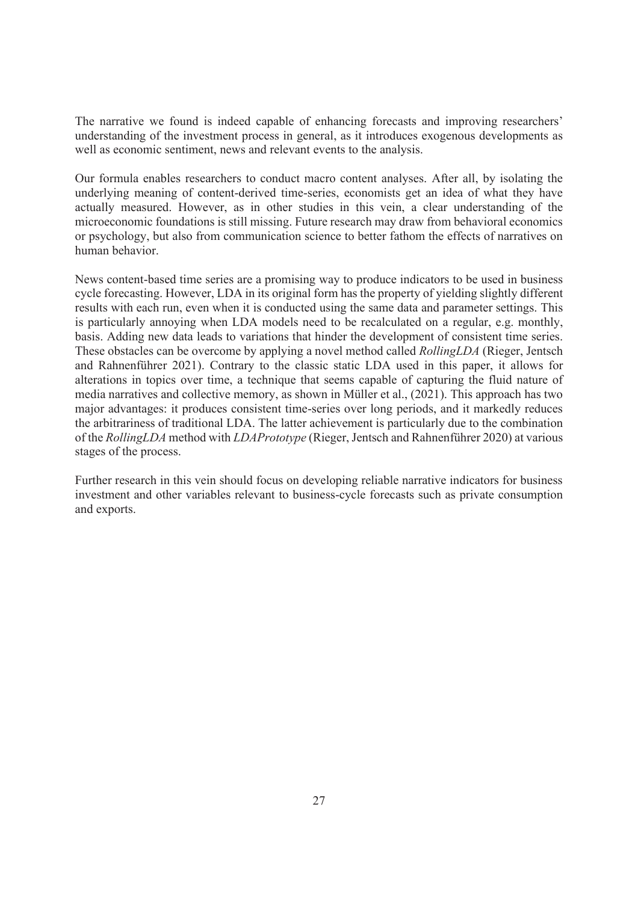The narrative we found is indeed capable of enhancing forecasts and improving researchers' understanding of the investment process in general, as it introduces exogenous developments as well as economic sentiment, news and relevant events to the analysis.

Our formula enables researchers to conduct macro content analyses. After all, by isolating the underlying meaning of content-derived time-series, economists get an idea of what they have actually measured. However, as in other studies in this vein, a clear understanding of the microeconomic foundations is still missing. Future research may draw from behavioral economics or psychology, but also from communication science to better fathom the effects of narratives on human behavior.

News content-based time series are a promising way to produce indicators to be used in business cycle forecasting. However, LDA in its original form has the property of yielding slightly different results with each run, even when it is conducted using the same data and parameter settings. This is particularly annoying when LDA models need to be recalculated on a regular, e.g. monthly, basis. Adding new data leads to variations that hinder the development of consistent time series. These obstacles can be overcome by applying a novel method called *RollingLDA* (Rieger, Jentsch and Rahnenführer 2021). Contrary to the classic static LDA used in this paper, it allows for alterations in topics over time, a technique that seems capable of capturing the fluid nature of media narratives and collective memory, as shown in Müller et al., (2021). This approach has two major advantages: it produces consistent time-series over long periods, and it markedly reduces the arbitrariness of traditional LDA. The latter achievement is particularly due to the combination of the *RollingLDA* method with *LDAPrototype* (Rieger, Jentsch and Rahnenführer 2020) at various stages of the process.

Further research in this vein should focus on developing reliable narrative indicators for business investment and other variables relevant to business-cycle forecasts such as private consumption and exports.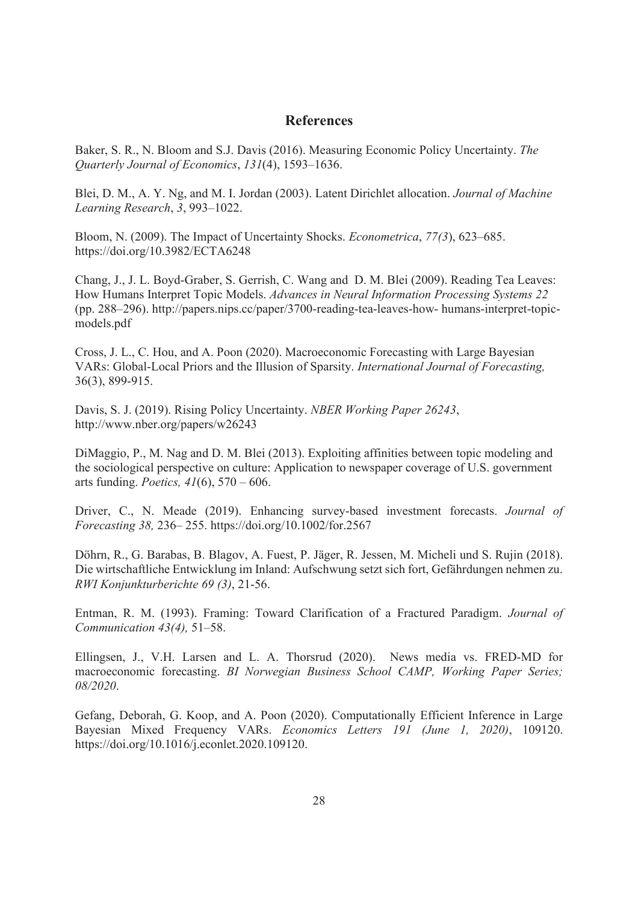## **References**

Baker, S. R., N. Bloom and S.J. Davis (2016). Measuring Economic Policy Uncertainty. *The Quarterly Journal of Economics*, *131*(4), 1593–1636.

Blei, D. M., A. Y. Ng, and M. I. Jordan (2003). Latent Dirichlet allocation. *Journal of Machine Learning Research*, *3*, 993–1022.

Bloom, N. (2009). The Impact of Uncertainty Shocks. *Econometrica*, *77(3*), 623–685. https://doi.org/10.3982/ECTA6248

Chang, J., J. L. Boyd-Graber, S. Gerrish, C. Wang and D. M. Blei (2009). Reading Tea Leaves: How Humans Interpret Topic Models. *Advances in Neural Information Processing Systems 22*  (pp. 288–296). http://papers.nips.cc/paper/3700-reading-tea-leaves-how- humans-interpret-topicmodels.pdf

Cross, J. L., C. Hou, and A. Poon (2020). Macroeconomic Forecasting with Large Bayesian VARs: Global-Local Priors and the Illusion of Sparsity. *International Journal of Forecasting,* 36(3), 899-915.

Davis, S. J. (2019). Rising Policy Uncertainty. *NBER Working Paper 26243*, http://www.nber.org/papers/w26243

DiMaggio, P., M. Nag and D. M. Blei (2013). Exploiting affinities between topic modeling and the sociological perspective on culture: Application to newspaper coverage of U.S. government arts funding. *Poetics, 41*(6), 570 – 606.

Driver, C., N. Meade (2019). Enhancing survey-based investment forecasts. *Journal of Forecasting 38,* 236– 255. https://doi.org/10.1002/for.2567

Döhrn, R., G. Barabas, B. Blagov, A. Fuest, P. Jäger, R. Jessen, M. Micheli und S. Rujin (2018). Die wirtschaftliche Entwicklung im Inland: Aufschwung setzt sich fort, Gefährdungen nehmen zu. *RWI Konjunkturberichte 69 (3)*, 21-56.

Entman, R. M. (1993). Framing: Toward Clarification of a Fractured Paradigm. *Journal of Communication 43(4),* 51–58.

Ellingsen, J., V.H. Larsen and L. A. Thorsrud (2020). News media vs. FRED-MD for macroeconomic forecasting. *BI Norwegian Business School CAMP, Working Paper Series; 08/2020*.

Gefang, Deborah, G. Koop, and A. Poon (2020). Computationally Efficient Inference in Large Bayesian Mixed Frequency VARs. *Economics Letters 191 (June 1, 2020)*, 109120. https://doi.org/10.1016/j.econlet.2020.109120.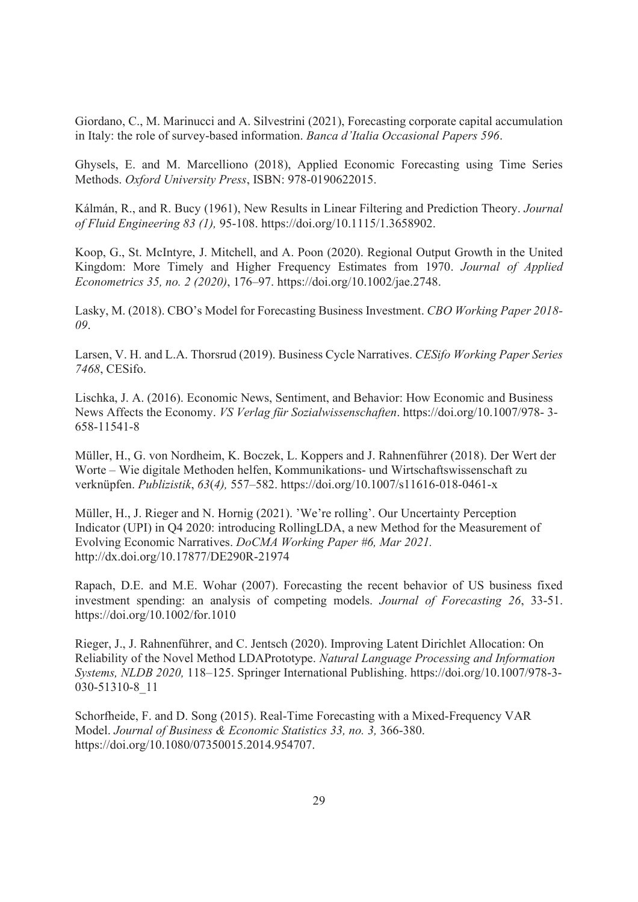Giordano, C., M. Marinucci and A. Silvestrini (2021), Forecasting corporate capital accumulation in Italy: the role of survey-based information. *Banca d'Italia Occasional Papers 596*.

Ghysels, E. and M. Marcelliono (2018), Applied Economic Forecasting using Time Series Methods. *Oxford University Press*, ISBN: 978-0190622015.

Kálmán, R., and R. Bucy (1961), New Results in Linear Filtering and Prediction Theory. *Journal of Fluid Engineering 83 (1),* 95-108. https://doi.org/10.1115/1.3658902.

Koop, G., St. McIntyre, J. Mitchell, and A. Poon (2020). Regional Output Growth in the United Kingdom: More Timely and Higher Frequency Estimates from 1970. *Journal of Applied Econometrics 35, no. 2 (2020)*, 176–97. https://doi.org/10.1002/jae.2748.

Lasky, M. (2018). CBO's Model for Forecasting Business Investment. *CBO Working Paper 2018- 09*.

Larsen, V. H. and L.A. Thorsrud (2019). Business Cycle Narratives. *CESifo Working Paper Series 7468*, CESifo.

Lischka, J. A. (2016). Economic News, Sentiment, and Behavior: How Economic and Business News Affects the Economy. *VS Verlag für Sozialwissenschaften*. https://doi.org/10.1007/978- 3- 658-11541-8

Müller, H., G. von Nordheim, K. Boczek, L. Koppers and J. Rahnenführer (2018). Der Wert der Worte – Wie digitale Methoden helfen, Kommunikations- und Wirtschaftswissenschaft zu verknüpfen. *Publizistik*, *63*(*4),* 557–582. https://doi.org/10.1007/s11616-018-0461-x

Müller, H., J. Rieger and N. Hornig (2021). 'We're rolling'. Our Uncertainty Perception Indicator (UPI) in Q4 2020: introducing RollingLDA, a new Method for the Measurement of Evolving Economic Narratives. *DoCMA Working Paper #6, Mar 2021.*  http://dx.doi.org/10.17877/DE290R-21974

Rapach, D.E. and M.E. Wohar (2007). Forecasting the recent behavior of US business fixed investment spending: an analysis of competing models. *Journal of Forecasting 26*, 33-51. https://doi.org/10.1002/for.1010

Rieger, J., J. Rahnenführer, and C. Jentsch (2020). Improving Latent Dirichlet Allocation: On Reliability of the Novel Method LDAPrototype. *Natural Language Processing and Information Systems, NLDB 2020,* 118–125. Springer International Publishing. https://doi.org/10.1007/978-3- 030-51310-8\_11

Schorfheide, F. and D. Song (2015). Real-Time Forecasting with a Mixed-Frequency VAR Model. *Journal of Business & Economic Statistics 33, no. 3,* 366-380. https://doi.org/10.1080/07350015.2014.954707.